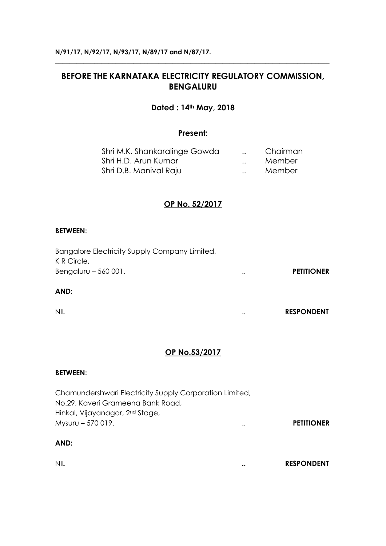# **BEFORE THE KARNATAKA ELECTRICITY REGULATORY COMMISSION, BENGALURU**

**\_\_\_\_\_\_\_\_\_\_\_\_\_\_\_\_\_\_\_\_\_\_\_\_\_\_\_\_\_\_\_\_\_\_\_\_\_\_\_\_\_\_\_\_\_\_\_\_\_\_\_\_\_\_\_\_\_\_\_\_\_\_\_\_\_\_\_\_\_\_\_\_\_\_\_\_\_**

#### **Dated : 14th May, 2018**

#### **Present:**

| Shri M.K. Shankaralinge Gowda |           | Chairman |
|-------------------------------|-----------|----------|
| Shri H.D. Arun Kumar          | $\ddotsc$ | Member   |
| Shri D.B. Manival Raju        | $\ddotsc$ | Member   |

## **OP No. 52/2017**

#### **BETWEEN:**

| Bangalore Electricity Supply Company Limited, |               |                   |
|-----------------------------------------------|---------------|-------------------|
| K R Circle,                                   |               |                   |
| Bengaluru $-560001$ .                         | $\cdot \cdot$ | <b>PETITIONER</b> |
| AND:                                          |               |                   |

NIL .. **RESPONDENT**

## **OP No.53/2017**

#### **BETWEEN:**

Chamundershwari Electricity Supply Corporation Limited, No.29, Kaveri Grameena Bank Road, Hinkal, Vijayanagar, 2nd Stage, Mysuru – 570 019. .. **PETITIONER**

#### **AND:**

| NIL | <b>RESPONDENT</b> |
|-----|-------------------|
|     |                   |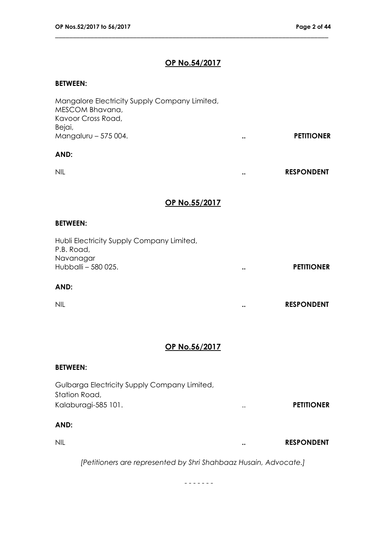# **OP No.54/2017**

\_\_\_\_\_\_\_\_\_\_\_\_\_\_\_\_\_\_\_\_\_\_\_\_\_\_\_\_\_\_\_\_\_\_\_\_\_\_\_\_\_\_\_\_\_\_\_\_\_\_\_\_\_\_\_\_\_\_\_\_\_\_\_\_\_\_\_\_\_\_\_\_\_\_\_\_\_

#### **BETWEEN:**

| Mangalore Electricity Supply Company Limited,<br>MESCOM Bhavana,<br>Kavoor Cross Road, |                      |                   |
|----------------------------------------------------------------------------------------|----------------------|-------------------|
| Bejai,<br>Mangaluru - 575 004.                                                         | $\bullet$ .          | <b>PETITIONER</b> |
| AND:                                                                                   |                      |                   |
| <b>NIL</b>                                                                             | $\bullet$ .          | <b>RESPONDENT</b> |
| OP No.55/2017                                                                          |                      |                   |
| <b>BETWEEN:</b>                                                                        |                      |                   |
| Hubli Electricity Supply Company Limited,<br>P.B. Road,<br>Navanagar                   |                      |                   |
| Hubballi - 580 025.                                                                    | $\ddot{\phantom{0}}$ | <b>PETITIONER</b> |
| AND:                                                                                   |                      |                   |
| <b>NIL</b>                                                                             |                      | <b>RESPONDENT</b> |
| <u>OP No.56/2017</u>                                                                   |                      |                   |
|                                                                                        |                      |                   |
| <b>BETWEEN:</b>                                                                        |                      |                   |
| Gulbarga Electricity Supply Company Limited,<br>Station Road,                          |                      |                   |
| Kalaburagi-585 101.                                                                    |                      | <b>PETITIONER</b> |
| AND:                                                                                   |                      |                   |
| <b>NIL</b>                                                                             |                      | <b>RESPONDENT</b> |
| [Petitioners are represented by Shri Shahbaaz Husain, Advocate.]                       |                      |                   |

- - - - - - -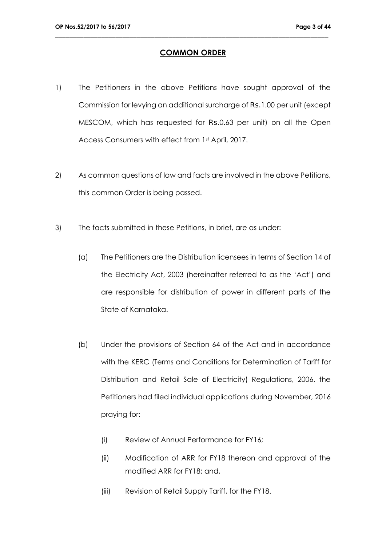#### **COMMON ORDER**

- 1) The Petitioners in the above Petitions have sought approval of the Commission for levying an additional surcharge of Rs.1.00 per unit (except MESCOM, which has requested for Rs.0.63 per unit) on all the Open Access Consumers with effect from 1st April, 2017.
- 2) As common questions of law and facts are involved in the above Petitions, this common Order is being passed.
- 3) The facts submitted in these Petitions, in brief, are as under:
	- (a) The Petitioners are the Distribution licensees in terms of Section 14 of the Electricity Act, 2003 (hereinafter referred to as the 'Act') and are responsible for distribution of power in different parts of the State of Karnataka.
	- (b) Under the provisions of Section 64 of the Act and in accordance with the KERC (Terms and Conditions for Determination of Tariff for Distribution and Retail Sale of Electricity) Regulations, 2006, the Petitioners had filed individual applications during November, 2016 praying for:
		- (i) Review of Annual Performance for FY16;
		- (ii) Modification of ARR for FY18 thereon and approval of the modified ARR for FY18; and,
		- (iii) Revision of Retail Supply Tariff, for the FY18.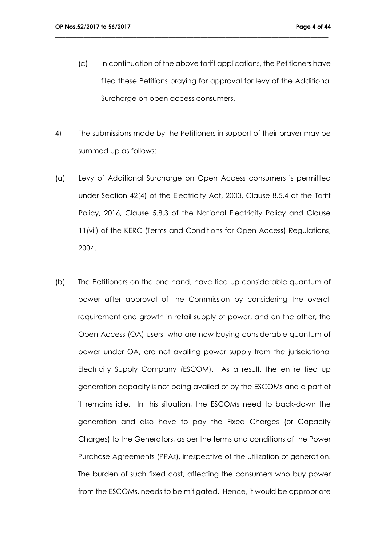(c) In continuation of the above tariff applications, the Petitioners have filed these Petitions praying for approval for levy of the Additional Surcharge on open access consumers.

- 4) The submissions made by the Petitioners in support of their prayer may be summed up as follows:
- (a) Levy of Additional Surcharge on Open Access consumers is permitted under Section 42(4) of the Electricity Act, 2003, Clause 8.5.4 of the Tariff Policy, 2016, Clause 5.8.3 of the National Electricity Policy and Clause 11(vii) of the KERC (Terms and Conditions for Open Access) Regulations, 2004.
- (b) The Petitioners on the one hand, have tied up considerable quantum of power after approval of the Commission by considering the overall requirement and growth in retail supply of power, and on the other, the Open Access (OA) users, who are now buying considerable quantum of power under OA, are not availing power supply from the jurisdictional Electricity Supply Company (ESCOM). As a result, the entire tied up generation capacity is not being availed of by the ESCOMs and a part of it remains idle. In this situation, the ESCOMs need to back-down the generation and also have to pay the Fixed Charges (or Capacity Charges) to the Generators, as per the terms and conditions of the Power Purchase Agreements (PPAs), irrespective of the utilization of generation. The burden of such fixed cost, affecting the consumers who buy power from the ESCOMs, needs to be mitigated. Hence, it would be appropriate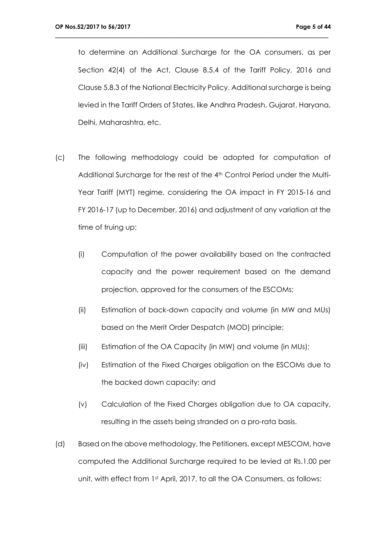to determine an Additional Surcharge for the OA consumers, as per Section 42(4) of the Act, Clause 8.5.4 of the Tariff Policy, 2016 and Clause 5.8.3 of the National Electricity Policy. Additional surcharge is being levied in the Tariff Orders of States, like Andhra Pradesh, Gujarat, Haryana, Delhi, Maharashtra, etc.

- (c) The following methodology could be adopted for computation of Additional Surcharge for the rest of the 4<sup>th</sup> Control Period under the Multi-Year Tariff (MYT) regime, considering the OA impact in FY 2015-16 and FY 2016-17 (up to December, 2016) and adjustment of any variation at the time of truing up:
	- (i) Computation of the power availability based on the contracted capacity and the power requirement based on the demand projection, approved for the consumers of the ESCOMs;
	- (ii) Estimation of back-down capacity and volume (in MW and MUs) based on the Merit Order Despatch (MOD) principle;
	- (iii) Estimation of the OA Capacity (in MW) and volume (in MUs);
	- (iv) Estimation of the Fixed Charges obligation on the ESCOMs due to the backed down capacity; and
	- (v) Calculation of the Fixed Charges obligation due to OA capacity, resulting in the assets being stranded on a pro-rata basis.
- (d) Based on the above methodology, the Petitioners, except MESCOM, have computed the Additional Surcharge required to be levied at Rs.1.00 per unit, with effect from 1st April, 2017, to all the OA Consumers, as follows: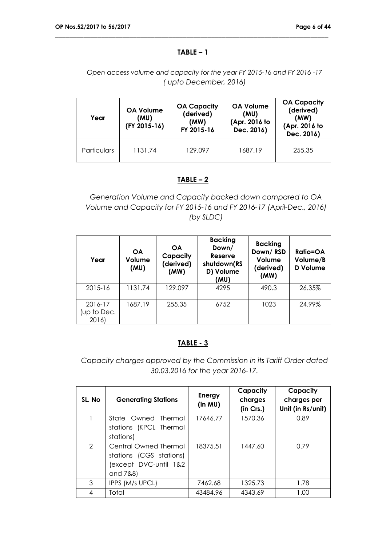#### **TABLE – 1**

\_\_\_\_\_\_\_\_\_\_\_\_\_\_\_\_\_\_\_\_\_\_\_\_\_\_\_\_\_\_\_\_\_\_\_\_\_\_\_\_\_\_\_\_\_\_\_\_\_\_\_\_\_\_\_\_\_\_\_\_\_\_\_\_\_\_\_\_\_\_\_\_\_\_\_\_\_

#### *Open access volume and capacity for the year FY 2015-16 and FY 2016 -17 ( upto December, 2016)*

| Year               | <b>OA Volume</b><br>(MU)<br>(FY 2015-16) | <b>OA Capacity</b><br>(derived)<br>(MW)<br>FY 2015-16 | <b>OA Volume</b><br>(MU)<br>(Apr. 2016 to<br>Dec. 2016) | <b>OA Capacity</b><br>(derived)<br>(MW)<br>(Apr. 2016 to<br>Dec. 2016) |
|--------------------|------------------------------------------|-------------------------------------------------------|---------------------------------------------------------|------------------------------------------------------------------------|
| <b>Particulars</b> | 1131.74                                  | 129.097                                               |                                                         | 255.35                                                                 |

#### **TABLE – 2**

*Generation Volume and Capacity backed down compared to OA Volume and Capacity for FY 2015-16 and FY 2016-17 (April-Dec., 2016) (by SLDC)*

| Year                            | <b>OA</b><br>Volume<br>(MU) | <b>OA</b><br>Capacity<br>(derived)<br>(MW) | <b>Backing</b><br>Down/<br>Reserve<br>shutdown(RS<br>D) Volume<br>(MU) | <b>Backing</b><br>Down/RSD<br>Volume<br>(derived)<br>(MW) | <b>Ratio=OA</b><br>Volume/B<br><b>D</b> Volume |
|---------------------------------|-----------------------------|--------------------------------------------|------------------------------------------------------------------------|-----------------------------------------------------------|------------------------------------------------|
| 2015-16                         | 1131.74                     | 129.097                                    | 4295                                                                   | 490.3                                                     | 26.35%                                         |
| 2016-17<br>(up to Dec.<br>2016) | 1687.19                     | 255.35                                     | 6752                                                                   | 1023                                                      | 24.99%                                         |

#### **TABLE - 3**

*Capacity charges approved by the Commission in its Tariff Order dated 30.03.2016 for the year 2016-17.*

| SL. No         | <b>Generating Stations</b>                                                            | Energy<br>(in MU) | Capacity<br>charges<br>(in Crs.) | Capacity<br>charges per<br>Unit (in Rs/unit) |
|----------------|---------------------------------------------------------------------------------------|-------------------|----------------------------------|----------------------------------------------|
|                | State Owned Thermal<br>stations (KPCL Thermal<br>stations)                            | 17646.77          | 1570.36                          | 0.89                                         |
| $\overline{2}$ | Central Owned Thermal<br>stations (CGS stations)<br>(except DVC-until 1&2<br>and 7&8) | 18375.51          | 1447.60                          | 0.79                                         |
| 3              | IPPS (M/s UPCL)                                                                       | 7462.68           | 1325.73                          | 1.78                                         |
| 4              | Total                                                                                 | 43484.96          | 4343.69                          | 1.00                                         |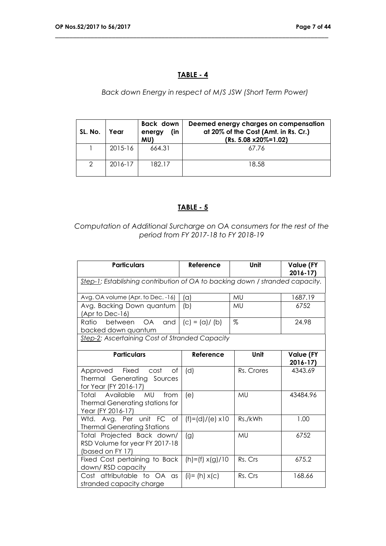#### **TABLE - 4**

\_\_\_\_\_\_\_\_\_\_\_\_\_\_\_\_\_\_\_\_\_\_\_\_\_\_\_\_\_\_\_\_\_\_\_\_\_\_\_\_\_\_\_\_\_\_\_\_\_\_\_\_\_\_\_\_\_\_\_\_\_\_\_\_\_\_\_\_\_\_\_\_\_\_\_\_\_

## *Back down Energy in respect of M/S JSW (Short Term Power)*

| SL. No.       | Year        | Back down<br>(in<br>energy<br>MU) | Deemed energy charges on compensation<br>at 20% of the Cost (Amt. in Rs. Cr.)<br>$(Rs. 5.08 x20\% = 1.02)$ |
|---------------|-------------|-----------------------------------|------------------------------------------------------------------------------------------------------------|
|               | $2015 - 16$ | 664.31                            | 67.76                                                                                                      |
| $\mathcal{P}$ | 2016-17     | 182.17                            | 18.58                                                                                                      |

## **TABLE - 5**

#### *Computation of Additional Surcharge on OA consumers for the rest of the period from FY 2017-18 to FY 2018-19*

| <b>Particulars</b>                                                                                  | Reference               | Unit       | <b>Value (FY</b><br>$2016 - 17$ |  |  |  |
|-----------------------------------------------------------------------------------------------------|-------------------------|------------|---------------------------------|--|--|--|
| Step-1: Establishing contribution of OA to backing down / stranded capacity.                        |                         |            |                                 |  |  |  |
| Avg. OA volume (Apr. to Dec. -16)                                                                   | (a)                     | MU         | 1687.19                         |  |  |  |
| Avg. Backing Down quantum<br>(Apr to Dec-16)                                                        | (b)                     | MU         | 6752                            |  |  |  |
| Ratio<br>between<br>OA.<br>and<br>backed down quantum                                               | $(c) = (a) / (b)$       | %          | 24.98                           |  |  |  |
| Step-2: Ascertaining Cost of Stranded Capacity                                                      |                         |            |                                 |  |  |  |
| <b>Particulars</b>                                                                                  | Reference               | Unit       | <b>Value (FY</b><br>$2016 - 17$ |  |  |  |
| Approved<br>Fixed<br>cost<br>Оf<br>Thermal Generating Sources<br>for Year (FY 2016-17)              | (d)                     | Rs. Crores | 4343.69                         |  |  |  |
| Total Available<br><b>MU</b><br>from<br><b>Thermal Generating stations for</b><br>Year (FY 2016-17) | (e)                     | MU         | 43484.96                        |  |  |  |
| Wtd. Avg. Per unit FC of<br><b>Thermal Generating Stations</b>                                      | $(f)=(d)/(e) \times 10$ | Rs./kWh    | 1.00                            |  |  |  |
| Total Projected Back down/<br>RSD Volume for year FY 2017-18<br>(based on FY 17)                    | (g)                     | MU         | 6752                            |  |  |  |
| Fixed Cost pertaining to Back<br>down/RSD capacity                                                  | $(h)=(f) \times (g)/10$ | Rs. Crs    | 675.2                           |  |  |  |
| Cost attributable to OA as<br>stranded capacity charge                                              | $(i) = (h) x(c)$        | Rs. Crs    | 168.66                          |  |  |  |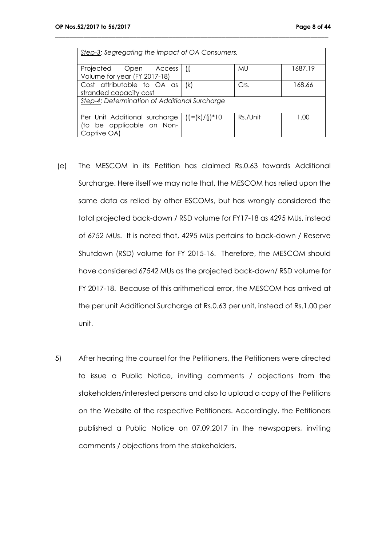| Step-3: Segregating the impact of OA Consumers.                               |                        |           |         |  |  |  |
|-------------------------------------------------------------------------------|------------------------|-----------|---------|--|--|--|
| Projected Open Access<br>Volume for year (FY 2017-18)                         | (j)                    | <b>MU</b> | 1687.19 |  |  |  |
| Cost attributable to OA as<br>168.66<br>Crs.<br>(k)<br>stranded capacity cost |                        |           |         |  |  |  |
| Step-4: Determination of Additional Surcharge                                 |                        |           |         |  |  |  |
| Per Unit Additional surcharge<br>(to be applicable on Non-<br>Captive OA)     | $(I) = (k) / (j)^* 10$ | Rs./Unit  | 1.00    |  |  |  |

- (e) The MESCOM in its Petition has claimed Rs.0.63 towards Additional Surcharge. Here itself we may note that, the MESCOM has relied upon the same data as relied by other ESCOMs, but has wrongly considered the total projected back-down / RSD volume for FY17-18 as 4295 MUs, instead of 6752 MUs. It is noted that, 4295 MUs pertains to back-down / Reserve Shutdown (RSD) volume for FY 2015-16. Therefore, the MESCOM should have considered 67542 MUs as the projected back-down/ RSD volume for FY 2017-18. Because of this arithmetical error, the MESCOM has arrived at the per unit Additional Surcharge at Rs.0.63 per unit, instead of Rs.1.00 per unit.
- 5) After hearing the counsel for the Petitioners, the Petitioners were directed to issue a Public Notice, inviting comments / objections from the stakeholders/interested persons and also to upload a copy of the Petitions on the Website of the respective Petitioners. Accordingly, the Petitioners published a Public Notice on 07.09.2017 in the newspapers, inviting comments / objections from the stakeholders.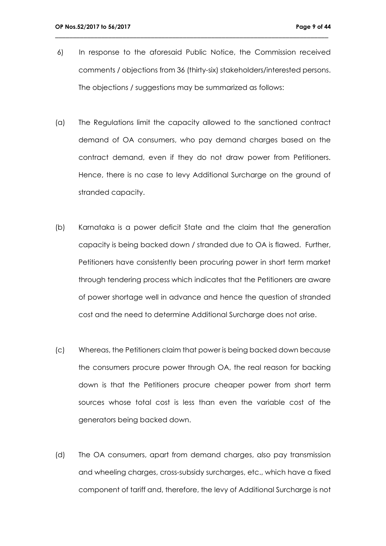6) In response to the aforesaid Public Notice, the Commission received comments / objections from 36 (thirty-six) stakeholders/interested persons. The objections / suggestions may be summarized as follows:

- (a) The Regulations limit the capacity allowed to the sanctioned contract demand of OA consumers, who pay demand charges based on the contract demand, even if they do not draw power from Petitioners. Hence, there is no case to levy Additional Surcharge on the ground of stranded capacity.
- (b) Karnataka is a power deficit State and the claim that the generation capacity is being backed down / stranded due to OA is flawed. Further, Petitioners have consistently been procuring power in short term market through tendering process which indicates that the Petitioners are aware of power shortage well in advance and hence the question of stranded cost and the need to determine Additional Surcharge does not arise.
- (c) Whereas, the Petitioners claim that power is being backed down because the consumers procure power through OA, the real reason for backing down is that the Petitioners procure cheaper power from short term sources whose total cost is less than even the variable cost of the generators being backed down.
- (d) The OA consumers, apart from demand charges, also pay transmission and wheeling charges, cross-subsidy surcharges, etc., which have a fixed component of tariff and, therefore, the levy of Additional Surcharge is not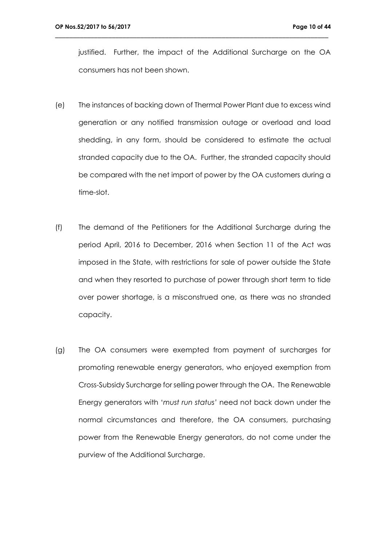justified. Further, the impact of the Additional Surcharge on the OA consumers has not been shown.

- (e) The instances of backing down of Thermal Power Plant due to excess wind generation or any notified transmission outage or overload and load shedding, in any form, should be considered to estimate the actual stranded capacity due to the OA. Further, the stranded capacity should be compared with the net import of power by the OA customers during a time-slot.
- (f) The demand of the Petitioners for the Additional Surcharge during the period April, 2016 to December, 2016 when Section 11 of the Act was imposed in the State, with restrictions for sale of power outside the State and when they resorted to purchase of power through short term to tide over power shortage, is a misconstrued one, as there was no stranded capacity.
- (g) The OA consumers were exempted from payment of surcharges for promoting renewable energy generators, who enjoyed exemption from Cross-Subsidy Surcharge for selling power through the OA. The Renewable Energy generators with '*must run status'* need not back down under the normal circumstances and therefore, the OA consumers, purchasing power from the Renewable Energy generators, do not come under the purview of the Additional Surcharge.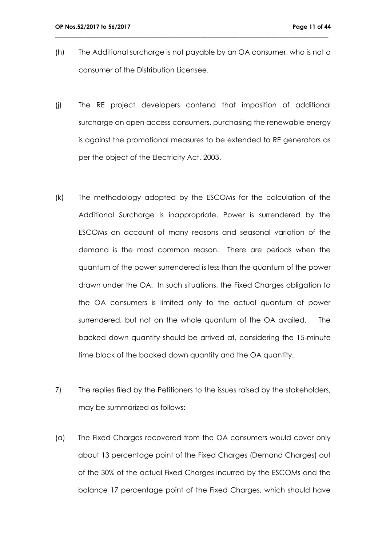(h) The Additional surcharge is not payable by an OA consumer, who is not a consumer of the Distribution Licensee.

- (j) The RE project developers contend that imposition of additional surcharge on open access consumers, purchasing the renewable energy is against the promotional measures to be extended to RE generators as per the object of the Electricity Act, 2003.
- (k) The methodology adopted by the ESCOMs for the calculation of the Additional Surcharge is inappropriate. Power is surrendered by the ESCOMs on account of many reasons and seasonal variation of the demand is the most common reason. There are periods when the quantum of the power surrendered is less than the quantum of the power drawn under the OA. In such situations, the Fixed Charges obligation to the OA consumers is limited only to the actual quantum of power surrendered, but not on the whole quantum of the OA availed. The backed down quantity should be arrived at, considering the 15-minute time block of the backed down quantity and the OA quantity.
- 7) The replies filed by the Petitioners to the issues raised by the stakeholders, may be summarized as follows:
- (a) The Fixed Cha*r*ges recovered from the OA consumers would cover only about 13 percentage point of the Fixed Charges (Demand Charges) out of the 30% of the actual Fixed Charges incurred by the ESCOMs and the balance 17 percentage point of the Fixed Charges, which should have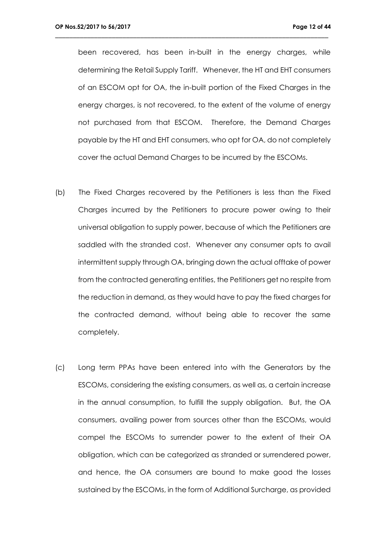been recovered, has been in-built in the energy charges, while determining the Retail Supply Tariff. Whenever, the HT and EHT consumers of an ESCOM opt for OA, the in-built portion of the Fixed Charges in the energy charges, is not recovered, to the extent of the volume of energy not purchased from that ESCOM. Therefore, the Demand Charges payable by the HT and EHT consumers, who opt for OA, do not completely cover the actual Demand Charges to be incurred by the ESCOMs.

- (b) The Fixed Charges recovered by the Petitioners is less than the Fixed Charges incurred by the Petitioners to procure power owing to their universal obligation to supply power, because of which the Petitioners are saddled with the stranded cost. Whenever any consumer opts to avail intermittent supply through OA, bringing down the actual offtake of power from the contracted generating entities, the Petitioners get no respite from the reduction in demand, as they would have to pay the fixed charges for the contracted demand, without being able to recover the same completely.
- (c) Long term PPAs have been entered into with the Generators by the ESCOMs, considering the existing consumers, as well as, a certain increase in the annual consumption, to fulfill the supply obligation. But, the OA consumers, availing power from sources other than the ESCOMs, would compel the ESCOMs to surrender power to the extent of their OA obligation, which can be categorized as stranded or surrendered power, and hence, the OA consumers are bound to make good the losses sustained by the ESCOMs, in the form of Additional Surcharge, as provided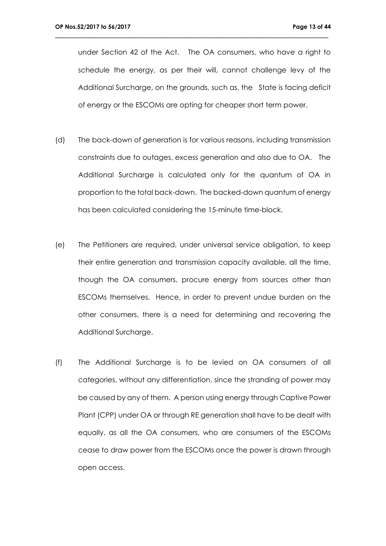under Section 42 of the Act. The OA consumers, who have a right to schedule the energy, as per their will, cannot challenge levy of the Additional Surcharge, on the grounds, such as, the State is facing deficit of energy or the ESCOMs are opting for cheaper short term power.

- (d) The back-down of generation is for various reasons, including transmission constraints due to outages, excess generation and also due to OA. The Additional Surcharge is calculated only for the quantum of OA in proportion to the total back-down. The backed-down quantum of energy has been calculated considering the 15-minute time-block.
- (e) The Petitioners are required, under universal service obligation, to keep their entire generation and transmission capacity available, all the time, though the OA consumers, procure energy from sources other than ESCOMs themselves. Hence, in order to prevent undue burden on the other consumers, there is a need for determining and recovering the Additional Surcharge.
- (f) The Additional Surcharge is to be levied on OA consumers of all categories, without any differentiation, since the stranding of power may be caused by any of them. A person using energy through Captive Power Plant (CPP) under OA or through RE generation shall have to be dealt with equally, as all the OA consumers, who are consumers of the ESCOMs cease to draw power from the ESCOMs once the power is drawn through open access.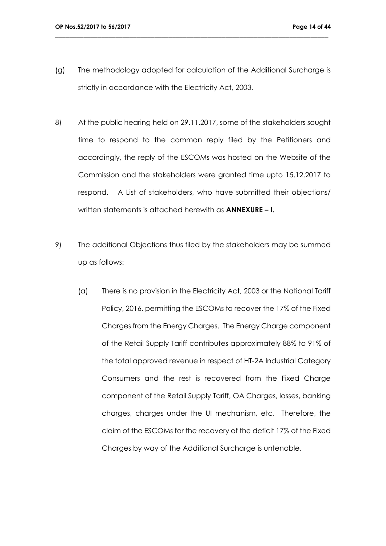(g) The methodology adopted for calculation of the Additional Surcharge is strictly in accordance with the Electricity Act, 2003.

- 8) At the public hearing held on 29.11.2017, some of the stakeholders sought time to respond to the common reply filed by the Petitioners and accordingly, the reply of the ESCOMs was hosted on the Website of the Commission and the stakeholders were granted time upto 15.12.2017 to respond. A List of stakeholders, who have submitted their objections/ written statements is attached herewith as **ANNEXURE – I.**
- 9) The additional Objections thus filed by the stakeholders may be summed up as follows:
	- (a) There is no provision in the Electricity Act, 2003 or the National Tariff Policy, 2016, permitting the ESCOMs to recover the 17% of the Fixed Charges from the Energy Charges. The Energy Charge component of the Retail Supply Tariff contributes approximately 88% to 91% of the total approved revenue in respect of HT-2A Industrial Category Consumers and the rest is recovered from the Fixed Charge component of the Retail Supply Tariff, OA Charges, losses, banking charges, charges under the UI mechanism, etc. Therefore, the claim of the ESCOMs for the recovery of the deficit 17% of the Fixed Charges by way of the Additional Surcharge is untenable.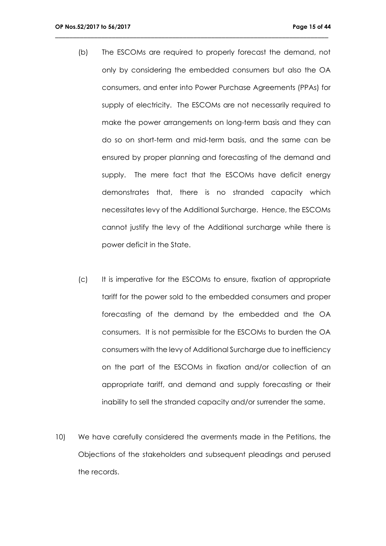(b) The ESCOMs are required to properly forecast the demand, not only by considering the embedded consumers but also the OA consumers, and enter into Power Purchase Agreements (PPAs) for supply of electricity. The ESCOMs are not necessarily required to make the power arrangements on long-term basis and they can do so on short-term and mid-term basis, and the same can be ensured by proper planning and forecasting of the demand and supply. The mere fact that the ESCOMs have deficit energy demonstrates that, there is no stranded capacity which necessitates levy of the Additional Surcharge. Hence, the ESCOMs cannot justify the levy of the Additional surcharge while there is power deficit in the State.

- (c) It is imperative for the ESCOMs to ensure, fixation of appropriate tariff for the power sold to the embedded consumers and proper forecasting of the demand by the embedded and the OA consumers. It is not permissible for the ESCOMs to burden the OA consumers with the levy of Additional Surcharge due to inefficiency on the part of the ESCOMs in fixation and/or collection of an appropriate tariff, and demand and supply forecasting or their inability to sell the stranded capacity and/or surrender the same.
- 10) We have carefully considered the averments made in the Petitions, the Objections of the stakeholders and subsequent pleadings and perused the records.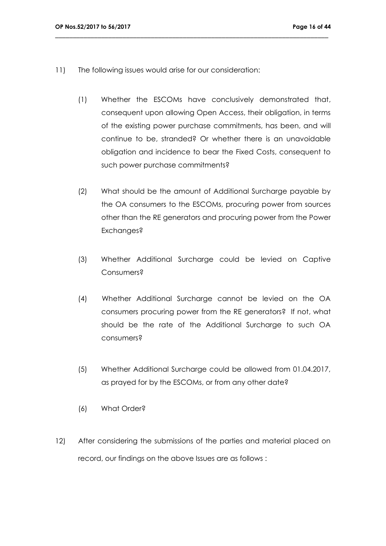- 11) The following issues would arise for our consideration:
	- (1) Whether the ESCOMs have conclusively demonstrated that, consequent upon allowing Open Access, their obligation, in terms of the existing power purchase commitments, has been, and will continue to be, stranded? Or whether there is an unavoidable obligation and incidence to bear the Fixed Costs, consequent to such power purchase commitments?

- (2) What should be the amount of Additional Surcharge payable by the OA consumers to the ESCOMs, procuring power from sources other than the RE generators and procuring power from the Power Exchanges?
- (3) Whether Additional Surcharge could be levied on Captive Consumers?
- (4) Whether Additional Surcharge cannot be levied on the OA consumers procuring power from the RE generators? If not, what should be the rate of the Additional Surcharge to such OA consumers?
- (5) Whether Additional Surcharge could be allowed from 01.04.2017, as prayed for by the ESCOMs, or from any other date?
- (6) What Order?
- 12) After considering the submissions of the parties and material placed on record, our findings on the above Issues are as follows :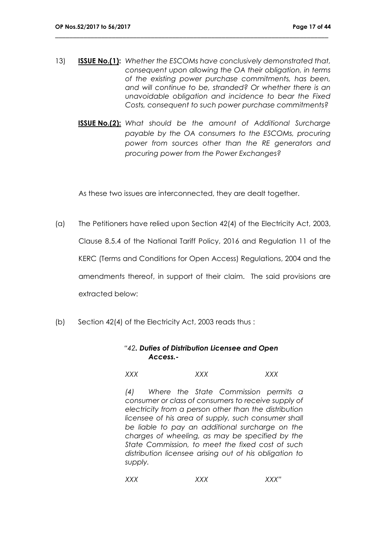13) **ISSUE No.(1):** *Whether the ESCOMs have conclusively demonstrated that, consequent upon allowing the OA their obligation, in terms of the existing power purchase commitments, has been, and will continue to be, stranded? Or whether there is an unavoidable obligation and incidence to bear the Fixed Costs, consequent to such power purchase commitments?*

\_\_\_\_\_\_\_\_\_\_\_\_\_\_\_\_\_\_\_\_\_\_\_\_\_\_\_\_\_\_\_\_\_\_\_\_\_\_\_\_\_\_\_\_\_\_\_\_\_\_\_\_\_\_\_\_\_\_\_\_\_\_\_\_\_\_\_\_\_\_\_\_\_\_\_\_\_

**ISSUE No.(2):** *What should be the amount of Additional Surcharge payable by the OA consumers to the ESCOMs, procuring power from sources other than the RE generators and procuring power from the Power Exchanges?*

As these two issues are interconnected, they are dealt together.

- (a) The Petitioners have relied upon Section 42(4) of the Electricity Act, 2003, Clause 8.5.4 of the National Tariff Policy, 2016 and Regulation 11 of the KERC (Terms and Conditions for Open Access) Regulations, 2004 and the amendments thereof, in support of their claim. The said provisions are extracted below:
- (b) Section 42(4) of the Electricity Act, 2003 reads thus :

#### *"42. Duties of Distribution Licensee and Open Access.-*

*XXX XXX XXX*

*(4) Where the State Commission permits a consumer or class of consumers to receive supply of electricity from a person other than the distribution licensee of his area of supply, such consumer shall be liable to pay an additional surcharge on the charges of wheeling, as may be specified by the State Commission, to meet the fixed cost of such distribution licensee arising out of his obligation to supply.*

*XXX XXX XXX"*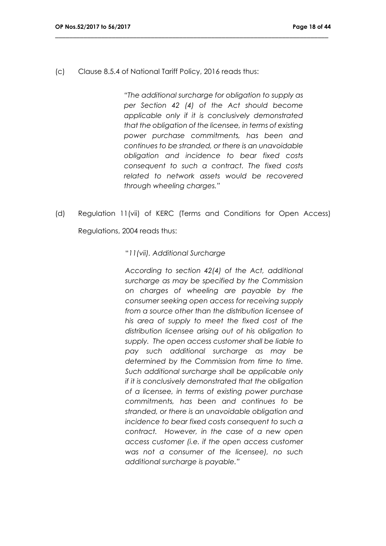(c) Clause 8.5.4 of National Tariff Policy, 2016 reads thus:

*"The additional surcharge for obligation to supply as per Section 42 (4) of the Act should become applicable only if it is conclusively demonstrated that the obligation of the licensee, in terms of existing power purchase commitments, has been and continues to be stranded, or there is an unavoidable obligation and incidence to bear fixed costs consequent to such a contract. The fixed costs related to network assets would be recovered through wheeling charges."*

(d) Regulation 11(vii) of KERC (Terms and Conditions for Open Access)

\_\_\_\_\_\_\_\_\_\_\_\_\_\_\_\_\_\_\_\_\_\_\_\_\_\_\_\_\_\_\_\_\_\_\_\_\_\_\_\_\_\_\_\_\_\_\_\_\_\_\_\_\_\_\_\_\_\_\_\_\_\_\_\_\_\_\_\_\_\_\_\_\_\_\_\_\_

Regulations, 2004 reads thus:

#### "*11(vii). Additional Surcharge*

*According to section 42(4) of the Act, additional surcharge as may be specified by the Commission on charges of wheeling are payable by the consumer seeking open access for receiving supply from a source other than the distribution licensee of his area of supply to meet the fixed cost of the distribution licensee arising out of his obligation to supply. The open access customer shall be liable to pay such additional surcharge as may be determined by the Commission from time to time. Such additional surcharge shall be applicable only if it is conclusively demonstrated that the obligation of a licensee, in terms of existing power purchase commitments, has been and continues to be stranded, or there is an unavoidable obligation and incidence to bear fixed costs consequent to such a contract. However, in the case of a new open access customer (i.e. if the open access customer was not a consumer of the licensee), no such additional surcharge is payable."*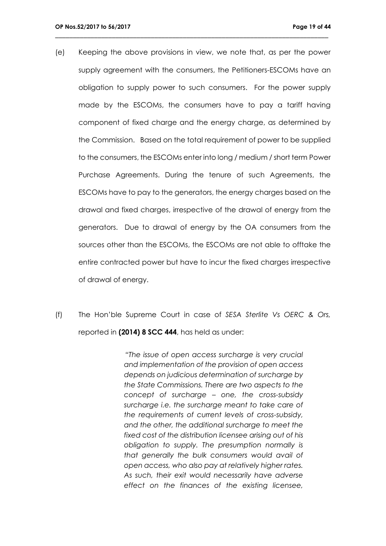(e) Keeping the above provisions in view, we note that, as per the power supply agreement with the consumers, the Petitioners-ESCOMs have an obligation to supply power to such consumers. For the power supply made by the ESCOMs, the consumers have to pay a tariff having component of fixed charge and the energy charge, as determined by the Commission. Based on the total requirement of power to be supplied to the consumers, the ESCOMs enter into long / medium / short term Power Purchase Agreements. During the tenure of such Agreements, the ESCOMs have to pay to the generators, the energy charges based on the drawal and fixed charges, irrespective of the drawal of energy from the generators. Due to drawal of energy by the OA consumers from the sources other than the ESCOMs, the ESCOMs are not able to offtake the entire contracted power but have to incur the fixed charges irrespective of drawal of energy.

\_\_\_\_\_\_\_\_\_\_\_\_\_\_\_\_\_\_\_\_\_\_\_\_\_\_\_\_\_\_\_\_\_\_\_\_\_\_\_\_\_\_\_\_\_\_\_\_\_\_\_\_\_\_\_\_\_\_\_\_\_\_\_\_\_\_\_\_\_\_\_\_\_\_\_\_\_

(f) The Hon'ble Supreme Court in case of *SESA Sterlite Vs OERC & Ors,* reported in **(2014) 8 SCC 444**, has held as under:

> *"The issue of open access surcharge is very crucial and implementation of the provision of open access depends on judicious determination of surcharge by the State Commissions. There are two aspects to the concept of surcharge – one, the cross-subsidy surcharge i.e. the surcharge meant to take care of the requirements of current levels of cross-subsidy, and the other, the additional surcharge to meet the fixed cost of the distribution licensee arising out of his obligation to supply. The presumption normally is that generally the bulk consumers would avail of open access, who also pay at relatively higher rates. As such, their exit would necessarily have adverse effect on the finances of the existing licensee,*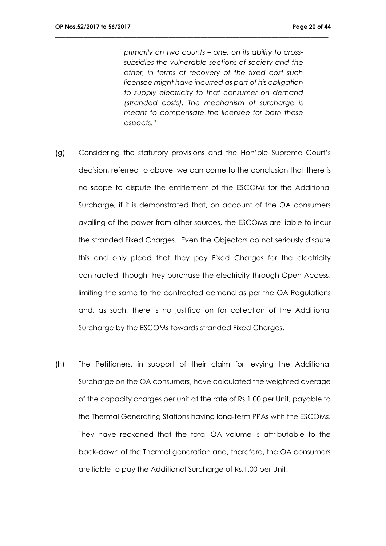*primarily on two counts – one, on its ability to crosssubsidies the vulnerable sections of society and the other, in terms of recovery of the fixed cost such licensee might have incurred as part of his obligation to supply electricity to that consumer on demand (stranded costs). The mechanism of surcharge is meant to compensate the licensee for both these aspects."*

- (g) Considering the statutory provisions and the Hon'ble Supreme Court's decision, referred to above, we can come to the conclusion that there is no scope to dispute the entitlement of the ESCOMs for the Additional Surcharge, if it is demonstrated that, on account of the OA consumers availing of the power from other sources, the ESCOMs are liable to incur the stranded Fixed Charges. Even the Objectors do not seriously dispute this and only plead that they pay Fixed Charges for the electricity contracted, though they purchase the electricity through Open Access, limiting the same to the contracted demand as per the OA Regulations and, as such, there is no justification for collection of the Additional Surcharge by the ESCOMs towards stranded Fixed Charges.
- (h) The Petitioners, in support of their claim for levying the Additional Surcharge on the OA consumers, have calculated the weighted average of the capacity charges per unit at the rate of Rs.1.00 per Unit, payable to the Thermal Generating Stations having long-term PPAs with the ESCOMs. They have reckoned that the total OA volume is attributable to the back-down of the Thermal generation and, therefore, the OA consumers are liable to pay the Additional Surcharge of Rs.1.00 per Unit.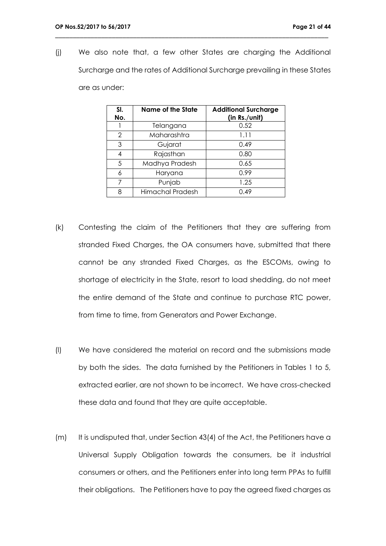(j) We also note that, a few other States are charging the Additional Surcharge and the rates of Additional Surcharge prevailing in these States are as under:

| SI.<br>No.    | <b>Name of the State</b> | <b>Additional Surcharge</b><br>(in Rs./unit) |
|---------------|--------------------------|----------------------------------------------|
|               | Telangana                | 0.52                                         |
| $\mathcal{P}$ | Maharashtra              | 1.11                                         |
| 3             | Gujarat                  | 0.49                                         |
|               | Rajasthan                | 0.80                                         |
| 5             | Madhya Pradesh           | 0.65                                         |
| 6             | Haryana                  | 0.99                                         |
| 7             | Punjab                   | 1.25                                         |
| ρ             | Himachal Pradesh         | 0.49                                         |

- (k) Contesting the claim of the Petitioners that they are suffering from stranded Fixed Charges, the OA consumers have, submitted that there cannot be any stranded Fixed Charges, as the ESCOMs, owing to shortage of electricity in the State, resort to load shedding, do not meet the entire demand of the State and continue to purchase RTC power, from time to time, from Generators and Power Exchange.
- (l) We have considered the material on record and the submissions made by both the sides. The data furnished by the Petitioners in Tables 1 to 5, extracted earlier, are not shown to be incorrect. We have cross-checked these data and found that they are quite acceptable.
- (m) It is undisputed that, under Section 43(4) of the Act, the Petitioners have a Universal Supply Obligation towards the consumers, be it industrial consumers or others, and the Petitioners enter into long term PPAs to fulfill their obligations. The Petitioners have to pay the agreed fixed charges as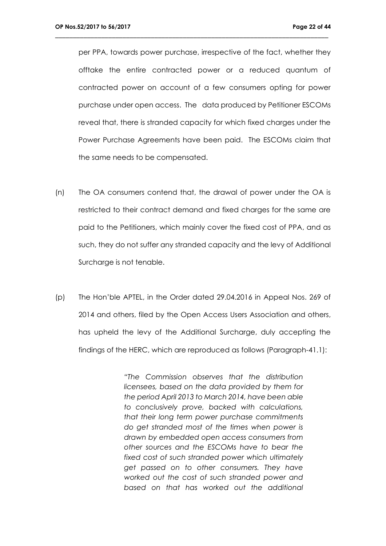per PPA, towards power purchase, irrespective of the fact, whether they offtake the entire contracted power or a reduced quantum of contracted power on account of a few consumers opting for power purchase under open access. The data produced by Petitioner ESCOMs reveal that, there is stranded capacity for which fixed charges under the Power Purchase Agreements have been paid. The ESCOMs claim that the same needs to be compensated.

\_\_\_\_\_\_\_\_\_\_\_\_\_\_\_\_\_\_\_\_\_\_\_\_\_\_\_\_\_\_\_\_\_\_\_\_\_\_\_\_\_\_\_\_\_\_\_\_\_\_\_\_\_\_\_\_\_\_\_\_\_\_\_\_\_\_\_\_\_\_\_\_\_\_\_\_\_

- (n) The OA consumers contend that, the drawal of power under the OA is restricted to their contract demand and fixed charges for the same are paid to the Petitioners, which mainly cover the fixed cost of PPA, and as such, they do not suffer any stranded capacity and the levy of Additional Surcharge is not tenable.
- (p) The Hon'ble APTEL, in the Order dated 29.04.2016 in Appeal Nos. 269 of 2014 and others, filed by the Open Access Users Association and others, has upheld the levy of the Additional Surcharge, duly accepting the findings of the HERC, which are reproduced as follows (Paragraph-41.1):

*"The Commission observes that the distribution licensees, based on the data provided by them for the period April 2013 to March 2014, have been able to conclusively prove, backed with calculations, that their long term power purchase commitments do get stranded most of the times when power is drawn by embedded open access consumers from other sources and the ESCOMs have to bear the fixed cost of such stranded power which ultimately get passed on to other consumers. They have worked out the cost of such stranded power and based on that has worked out the additional*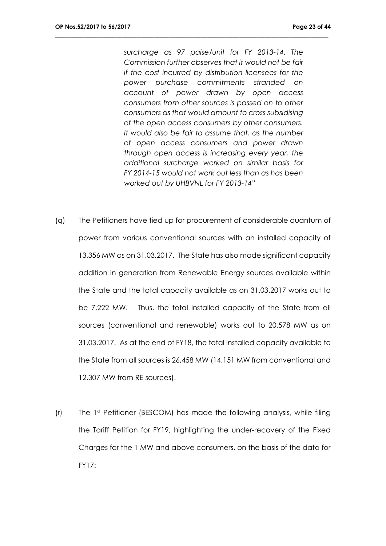*surcharge as 97 paise/unit for FY 2013-14. The Commission further observes that it would not be fair if the cost incurred by distribution licensees for the power purchase commitments stranded on account of power drawn by open access consumers from other sources is passed on to other consumers as that would amount to cross subsidising of the open access consumers by other consumers. It would also be fair to assume that, as the number of open access consumers and power drawn through open access is increasing every year, the additional surcharge worked on similar basis for FY 2014-15 would not work out less than as has been worked out by UHBVNL for FY 2013-14"*

- (q) The Petitioners have tied up for procurement of considerable quantum of power from various conventional sources with an installed capacity of 13,356 MW as on 31.03.2017. The State has also made significant capacity addition in generation from Renewable Energy sources available within the State and the total capacity available as on 31.03.2017 works out to be 7,222 MW. Thus, the total installed capacity of the State from all sources (conventional and renewable) works out to 20,578 MW as on 31.03.2017. As at the end of FY18, the total installed capacity available to the State from all sources is 26,458 MW (14,151 MW from conventional and 12,307 MW from RE sources).
- (r) The 1st Petitioner (BESCOM) has made the following analysis, while filing the Tariff Petition for FY19, highlighting the under-recovery of the Fixed Charges for the 1 MW and above consumers, on the basis of the data for FY17: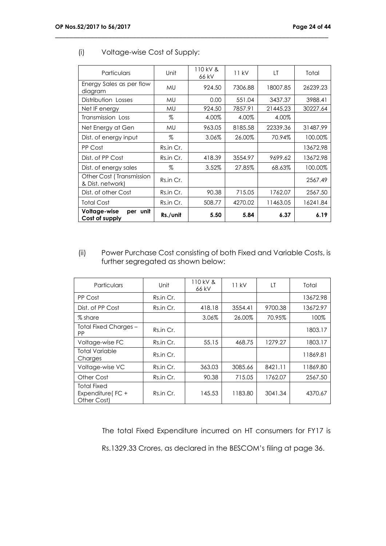| Particulars                                  | Unit      | $110$ kV &<br>66 kV | 11 kV   | LT       | Total    |
|----------------------------------------------|-----------|---------------------|---------|----------|----------|
| Energy Sales as per flow<br>diagram          | <b>MU</b> | 924.50              | 7306.88 | 18007.85 | 26239.23 |
| Distribution Losses                          | <b>MU</b> | 0.00                | 551.04  | 3437.37  | 3988.41  |
| Net IF energy                                | <b>MU</b> | 924.50              | 7857.91 | 21445.23 | 30227.64 |
| Transmission Loss                            | $\%$      | 4.00%               | 4.00%   | 4.00%    |          |
| Net Energy at Gen                            | <b>MU</b> | 963.05              | 8185.58 | 22339.36 | 31487.99 |
| Dist. of energy input                        | %         | 3.06%               | 26.00%  | 70.94%   | 100.00%  |
| PP Cost                                      | Rs.in Cr. |                     |         |          | 13672.98 |
| Dist. of PP Cost                             | Rs.in Cr. | 418.39              | 3554.97 | 9699.62  | 13672.98 |
| Dist. of energy sales                        | $\%$      | 3.52%               | 27.85%  | 68.63%   | 100.00%  |
| Other Cost (Transmission<br>& Dist. network) | Rs.in Cr. |                     |         |          | 2567.49  |
| Dist. of other Cost                          | Rs.in Cr. | 90.38               | 715.05  | 1762.07  | 2567.50  |
| <b>Total Cost</b>                            | Rs.in Cr. | 508.77              | 4270.02 | 11463.05 | 16241.84 |
| Voltage-wise<br>per unit<br>Cost of supply   | Rs./unit  | 5.50                | 5.84    | 6.37     | 6.19     |

\_\_\_\_\_\_\_\_\_\_\_\_\_\_\_\_\_\_\_\_\_\_\_\_\_\_\_\_\_\_\_\_\_\_\_\_\_\_\_\_\_\_\_\_\_\_\_\_\_\_\_\_\_\_\_\_\_\_\_\_\_\_\_\_\_\_\_\_\_\_\_\_\_\_\_\_\_

#### (i) Voltage-wise Cost of Supply:

(ii) Power Purchase Cost consisting of both Fixed and Variable Costs, is further segregated as shown below:

| Particulars                                           | Unit      | 110 kV &<br>66 kV | 11 kV   | LT      | Total    |
|-------------------------------------------------------|-----------|-------------------|---------|---------|----------|
| PP Cost                                               | Rs.in Cr. |                   |         |         | 13672.98 |
| Dist. of PP Cost                                      | Rs.in Cr. | 418.18            | 3554.41 | 9700.38 | 13672.97 |
| $%$ share                                             |           | 3.06%             | 26.00%  | 70.95%  | 100%     |
| Total Fixed Charges -<br>PP                           | Rs.in Cr. |                   |         |         | 1803.17  |
| Voltage-wise FC                                       | Rs.in Cr. | 55.15             | 468.75  | 1279.27 | 1803.17  |
| <b>Total Variable</b><br>Charges                      | Rs.in Cr. |                   |         |         | 11869.81 |
| Voltage-wise VC                                       | Rs.in Cr. | 363.03            | 3085.66 | 8421.11 | 11869.80 |
| Other Cost                                            | Rs.in Cr. | 90.38             | 715.05  | 1762.07 | 2567.50  |
| <b>Total Fixed</b><br>Expenditure (FC+<br>Other Cost) | Rs.in Cr. | 145.53            | 1183.80 | 3041.34 | 4370.67  |

 The total Fixed Expenditure incurred on HT consumers for FY17 is Rs.1329.33 Crores, as declared in the BESCOM's filing at page 36.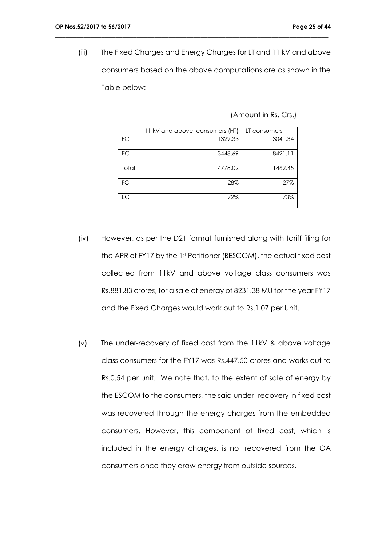(iii) The Fixed Charges and Energy Charges for LT and 11 kV and above consumers based on the above computations are as shown in the Table below:

\_\_\_\_\_\_\_\_\_\_\_\_\_\_\_\_\_\_\_\_\_\_\_\_\_\_\_\_\_\_\_\_\_\_\_\_\_\_\_\_\_\_\_\_\_\_\_\_\_\_\_\_\_\_\_\_\_\_\_\_\_\_\_\_\_\_\_\_\_\_\_\_\_\_\_\_\_

(Amount in Rs. Crs.)

|           | 11 kV and above consumers (HT) | LT consumers |
|-----------|--------------------------------|--------------|
| FC        | 1329.33                        | 3041.34      |
| EC        | 3448.69                        | 8421.11      |
| Total     | 4778.02                        | 11462.45     |
| <b>FC</b> | 28%                            | 27%          |
| EC        | 72%                            | 73%          |

- (iv) However, as per the D21 format furnished along with tariff filing for the APR of FY17 by the 1st Petitioner (BESCOM), the actual fixed cost collected from 11kV and above voltage class consumers was Rs.881.83 crores, for a sale of energy of 8231.38 MU for the year FY17 and the Fixed Charges would work out to Rs.1.07 per Unit.
- (v) The under-recovery of fixed cost from the 11kV & above voltage class consumers for the FY17 was Rs.447.50 crores and works out to Rs.0.54 per unit. We note that, to the extent of sale of energy by the ESCOM to the consumers, the said under- recovery in fixed cost was recovered through the energy charges from the embedded consumers. However, this component of fixed cost, which is included in the energy charges, is not recovered from the OA consumers once they draw energy from outside sources.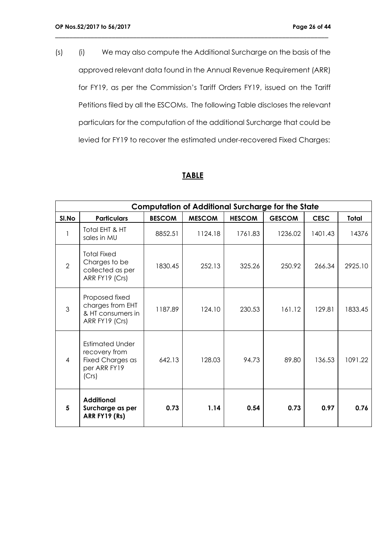(s) (i) We may also compute the Additional Surcharge on the basis of the approved relevant data found in the Annual Revenue Requirement (ARR) for FY19, as per the Commission's Tariff Orders FY19, issued on the Tariff Petitions filed by all the ESCOMs. The following Table discloses the relevant particulars for the computation of the additional Surcharge that could be levied for FY19 to recover the estimated under-recovered Fixed Charges:

\_\_\_\_\_\_\_\_\_\_\_\_\_\_\_\_\_\_\_\_\_\_\_\_\_\_\_\_\_\_\_\_\_\_\_\_\_\_\_\_\_\_\_\_\_\_\_\_\_\_\_\_\_\_\_\_\_\_\_\_\_\_\_\_\_\_\_\_\_\_\_\_\_\_\_\_\_

## **TABLE**

|                | <b>Computation of Additional Surcharge for the State</b>                             |               |               |               |               |             |              |  |
|----------------|--------------------------------------------------------------------------------------|---------------|---------------|---------------|---------------|-------------|--------------|--|
| SI.No          | <b>Particulars</b>                                                                   | <b>BESCOM</b> | <b>MESCOM</b> | <b>HESCOM</b> | <b>GESCOM</b> | <b>CESC</b> | <b>Total</b> |  |
|                | Total EHT & HT<br>sales in MU                                                        | 8852.51       | 1124.18       | 1761.83       | 1236.02       | 1401.43     | 14376        |  |
| $\overline{2}$ | <b>Total Fixed</b><br>Charges to be<br>collected as per<br>ARR FY19 (Crs)            | 1830.45       | 252.13        | 325.26        | 250.92        | 266.34      | 2925.10      |  |
| 3              | Proposed fixed<br>charges from EHT<br>& HT consumers in<br>ARR FY19 (Crs)            | 1187.89       | 124.10        | 230.53        | 161.12        | 129.81      | 1833.45      |  |
| $\overline{4}$ | <b>Estimated Under</b><br>recovery from<br>Fixed Charges as<br>per ARR FY19<br>(Crs) | 642.13        | 128.03        | 94.73         | 89.80         | 136.53      | 1091.22      |  |
| 5              | <b>Additional</b><br>Surcharge as per<br>ARR FY19 (Rs)                               | 0.73          | 1.14          | 0.54          | 0.73          | 0.97        | 0.76         |  |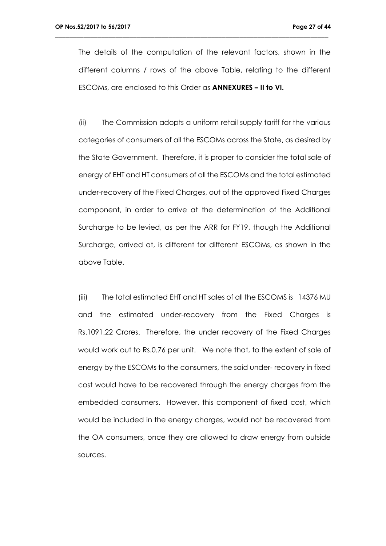The details of the computation of the relevant factors, shown in the different columns / rows of the above Table, relating to the different ESCOMs, are enclosed to this Order as **ANNEXURES – II to VI.**

\_\_\_\_\_\_\_\_\_\_\_\_\_\_\_\_\_\_\_\_\_\_\_\_\_\_\_\_\_\_\_\_\_\_\_\_\_\_\_\_\_\_\_\_\_\_\_\_\_\_\_\_\_\_\_\_\_\_\_\_\_\_\_\_\_\_\_\_\_\_\_\_\_\_\_\_\_

(ii) The Commission adopts a uniform retail supply tariff for the various categories of consumers of all the ESCOMs across the State, as desired by the State Government. Therefore, it is proper to consider the total sale of energy of EHT and HT consumers of all the ESCOMs and the total estimated under-recovery of the Fixed Charges, out of the approved Fixed Charges component, in order to arrive at the determination of the Additional Surcharge to be levied, as per the ARR for FY19, though the Additional Surcharge, arrived at, is different for different ESCOMs, as shown in the above Table.

(iii) The total estimated EHT and HT sales of all the ESCOMS is 14376 MU and the estimated under-recovery from the Fixed Charges is Rs.1091.22 Crores. Therefore, the under recovery of the Fixed Charges would work out to Rs.0.76 per unit. We note that, to the extent of sale of energy by the ESCOMs to the consumers, the said under- recovery in fixed cost would have to be recovered through the energy charges from the embedded consumers. However, this component of fixed cost, which would be included in the energy charges, would not be recovered from the OA consumers, once they are allowed to draw energy from outside sources.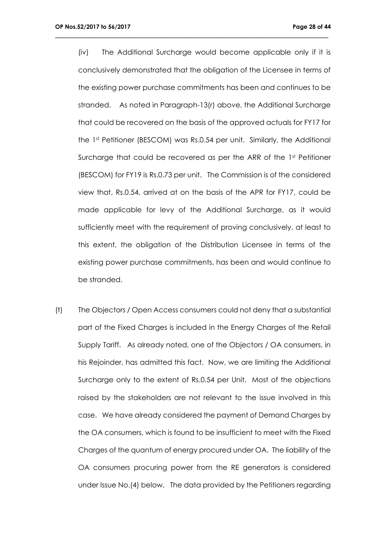(iv) The Additional Surcharge would become applicable only if it is conclusively demonstrated that the obligation of the Licensee in terms of the existing power purchase commitments has been and continues to be stranded. As noted in Paragraph-13(r) above, the Additional Surcharge that could be recovered on the basis of the approved actuals for FY17 for the 1st Petitioner (BESCOM) was Rs.0.54 per unit. Similarly, the Additional Surcharge that could be recovered as per the ARR of the 1st Petitioner (BESCOM) for FY19 is Rs.0.73 per unit. The Commission is of the considered view that, Rs.0.54, arrived at on the basis of the APR for FY17, could be made applicable for levy of the Additional Surcharge, as it would sufficiently meet with the requirement of proving conclusively, at least to this extent, the obligation of the Distribution Licensee in terms of the existing power purchase commitments, has been and would continue to be stranded.

\_\_\_\_\_\_\_\_\_\_\_\_\_\_\_\_\_\_\_\_\_\_\_\_\_\_\_\_\_\_\_\_\_\_\_\_\_\_\_\_\_\_\_\_\_\_\_\_\_\_\_\_\_\_\_\_\_\_\_\_\_\_\_\_\_\_\_\_\_\_\_\_\_\_\_\_\_

(t) The Objectors / Open Access consumers could not deny that a substantial part of the Fixed Charges is included in the Energy Charges of the Retail Supply Tariff. As already noted, one of the Objectors / OA consumers, in his Rejoinder, has admitted this fact. Now, we are limiting the Additional Surcharge only to the extent of Rs.0.54 per Unit. Most of the objections raised by the stakeholders are not relevant to the issue involved in this case. We have already considered the payment of Demand Charges by the OA consumers, which is found to be insufficient to meet with the Fixed Charges of the quantum of energy procured under OA. The liability of the OA consumers procuring power from the RE generators is considered under Issue No.(4) below. The data provided by the Petitioners regarding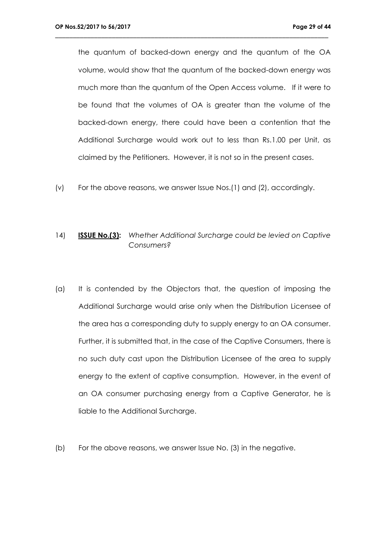the quantum of backed-down energy and the quantum of the OA volume, would show that the quantum of the backed-down energy was much more than the quantum of the Open Access volume. If it were to be found that the volumes of OA is greater than the volume of the backed-down energy, there could have been a contention that the Additional Surcharge would work out to less than Rs.1.00 per Unit, as claimed by the Petitioners. However, it is not so in the present cases.

\_\_\_\_\_\_\_\_\_\_\_\_\_\_\_\_\_\_\_\_\_\_\_\_\_\_\_\_\_\_\_\_\_\_\_\_\_\_\_\_\_\_\_\_\_\_\_\_\_\_\_\_\_\_\_\_\_\_\_\_\_\_\_\_\_\_\_\_\_\_\_\_\_\_\_\_\_

(v) For the above reasons, we answer Issue Nos.(1) and (2), accordingly.

#### 14) **ISSUE No.(3):** *Whether Additional Surcharge could be levied on Captive Consumers?*

- (a) It is contended by the Objectors that, the question of imposing the Additional Surcharge would arise only when the Distribution Licensee of the area has a corresponding duty to supply energy to an OA consumer. Further, it is submitted that, in the case of the Captive Consumers, there is no such duty cast upon the Distribution Licensee of the area to supply energy to the extent of captive consumption. However, in the event of an OA consumer purchasing energy from a Captive Generator, he is liable to the Additional Surcharge.
- (b) For the above reasons, we answer Issue No. (3) in the negative.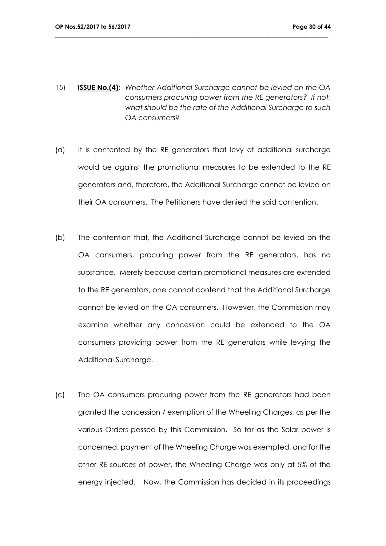15) **ISSUE No.(4):** *Whether Additional Surcharge cannot be levied on the OA consumers procuring power from the RE generators? If not, what should be the rate of the Additional Surcharge to such OA consumers?*

- (a) It is contented by the RE generators that levy of additional surcharge would be against the promotional measures to be extended to the RE generators and, therefore, the Additional Surcharge cannot be levied on their OA consumers. The Petitioners have denied the said contention.
- (b) The contention that, the Additional Surcharge cannot be levied on the OA consumers, procuring power from the RE generators, has no substance. Merely because certain promotional measures are extended to the RE generators, one cannot contend that the Additional Surcharge cannot be levied on the OA consumers. However, the Commission may examine whether any concession could be extended to the OA consumers providing power from the RE generators while levying the Additional Surcharge.
- (c) The OA consumers procuring power from the RE generators had been granted the concession / exemption of the Wheeling Charges, as per the various Orders passed by this Commission. So far as the Solar power is concerned, payment of the Wheeling Charge was exempted, and for the other RE sources of power, the Wheeling Charge was only at 5% of the energy injected. Now, the Commission has decided in its proceedings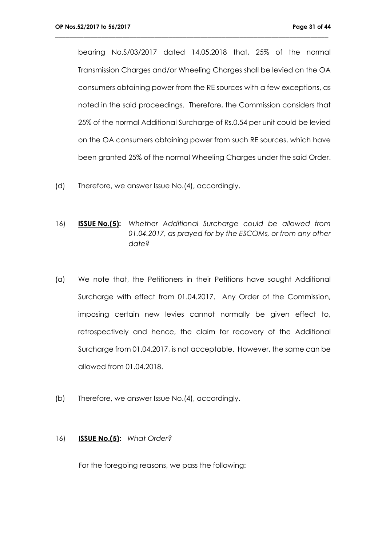bearing No.S/03/2017 dated 14.05.2018 that, 25% of the normal Transmission Charges and/or Wheeling Charges shall be levied on the OA consumers obtaining power from the RE sources with a few exceptions, as noted in the said proceedings. Therefore, the Commission considers that 25% of the normal Additional Surcharge of Rs.0.54 per unit could be levied on the OA consumers obtaining power from such RE sources, which have been granted 25% of the normal Wheeling Charges under the said Order.

\_\_\_\_\_\_\_\_\_\_\_\_\_\_\_\_\_\_\_\_\_\_\_\_\_\_\_\_\_\_\_\_\_\_\_\_\_\_\_\_\_\_\_\_\_\_\_\_\_\_\_\_\_\_\_\_\_\_\_\_\_\_\_\_\_\_\_\_\_\_\_\_\_\_\_\_\_

- (d) Therefore, we answer Issue No.(4), accordingly.
- 16) **ISSUE No.(5):** *Whether Additional Surcharge could be allowed from 01.04.2017, as prayed for by the ESCOMs, or from any other date?*
- (a) We note that, the Petitioners in their Petitions have sought Additional Surcharge with effect from 01.04.2017. Any Order of the Commission, imposing certain new levies cannot normally be given effect to, retrospectively and hence, the claim for recovery of the Additional Surcharge from 01.04.2017, is not acceptable. However, the same can be allowed from 01.04.2018.
- (b) Therefore, we answer Issue No.(4), accordingly.

#### 16) **ISSUE No.(5):** *What Order?*

For the foregoing reasons, we pass the following: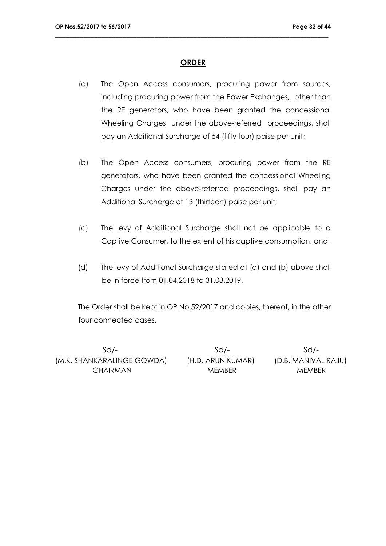#### **ORDER**

\_\_\_\_\_\_\_\_\_\_\_\_\_\_\_\_\_\_\_\_\_\_\_\_\_\_\_\_\_\_\_\_\_\_\_\_\_\_\_\_\_\_\_\_\_\_\_\_\_\_\_\_\_\_\_\_\_\_\_\_\_\_\_\_\_\_\_\_\_\_\_\_\_\_\_\_\_

- (a) The Open Access consumers, procuring power from sources, including procuring power from the Power Exchanges, other than the RE generators, who have been granted the concessional Wheeling Charges under the above-referred proceedings, shall pay an Additional Surcharge of 54 (fifty four) paise per unit;
- (b) The Open Access consumers, procuring power from the RE generators, who have been granted the concessional Wheeling Charges under the above-referred proceedings, shall pay an Additional Surcharge of 13 (thirteen) paise per unit;
- (c) The levy of Additional Surcharge shall not be applicable to a Captive Consumer, to the extent of his captive consumption; and,
- (d) The levy of Additional Surcharge stated at (a) and (b) above shall be in force from 01.04.2018 to 31.03.2019.

The Order shall be kept in OP No.52/2017 and copies, thereof, in the other four connected cases.

Sd/- Sd/- Sd/- (M.K. SHANKARALINGE GOWDA) (H.D. ARUN KUMAR) (D.B. MANIVAL RAJU) CHAIRMAN MEMBER MEMBER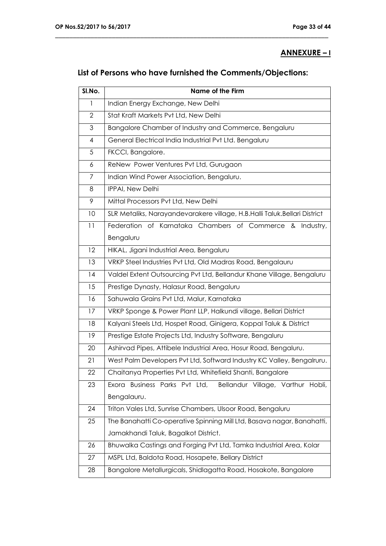## **ANNEXURE – I**

# **List of Persons who have furnished the Comments/Objections:**

| SI.No.         | <b>Name of the Firm</b>                                                   |
|----------------|---------------------------------------------------------------------------|
| 1              | Indian Energy Exchange, New Delhi                                         |
| $\overline{2}$ | Stat Kraft Markets Pvt Ltd, New Delhi                                     |
| 3              | Bangalore Chamber of Industry and Commerce, Bengaluru                     |
| $\overline{4}$ | General Electrical India Industrial Pvt Ltd. Bengaluru                    |
| 5              | FKCCI, Bangalore.                                                         |
| 6              | ReNew Power Ventures Pvt Ltd, Gurugaon                                    |
| 7              | Indian Wind Power Association, Bengaluru.                                 |
| 8              | IPPAI, New Delhi                                                          |
| 9              | Mittal Processors Pvt Ltd, New Delhi                                      |
| 10             | SLR Metaliks, Narayandevarakere village, H.B.Halli Taluk.Bellari District |
| 11             | Federation of Karnataka Chambers of Commerce & Industry,                  |
|                | Bengaluru                                                                 |
| 12             | HIKAL, Jigani Industrial Area, Bengaluru                                  |
| 13             | VRKP Steel Industries Pvt Ltd, Old Madras Road, Bengalauru                |
| 4              | Valdel Extent Outsourcing Pvt Ltd, Bellandur Khane Village, Bengaluru     |
| 15             | Prestige Dynasty, Halasur Road, Bengaluru                                 |
| 16             | Sahuwala Grains Pvt Ltd, Malur, Karnataka                                 |
| 17             | VRKP Sponge & Power Plant LLP, Halkundi village, Bellari District         |
| 18             | Kalyani Steels Ltd, Hospet Road, Ginigera, Koppal Taluk & District        |
| 19             | Prestige Estate Projects Ltd, Industry Software, Bengaluru                |
| 20             | Ashirvad Pipes, Attibele Industrial Area, Hosur Road, Bengaluru.          |
| 21             | West Palm Developers Pvt Ltd, Softward Industry KC Valley, Bengalruru.    |
| 22             | Chaitanya Properties Pvt Ltd, Whitefield Shanti, Bangalore                |
| 23             | Exora Business Parks Pvt Ltd, Bellandur Village, Varthur Hobli,           |
|                | Bengalauru.                                                               |
| 24             | Triton Vales Ltd, Sunrise Chambers, Ulsoor Road, Bengaluru                |
| 25             | The Banahatti Co-operative Spinning Mill Ltd, Basava nagar, Banahatti,    |
|                | Jamakhandi Taluk, Bagalkot District.                                      |
| 26             | Bhuwalka Castings and Forging Pvt Ltd, Tamka Industrial Area, Kolar       |
| 27             | MSPL Ltd, Baldota Road, Hosapete, Bellary District                        |
| 28             | Bangalore Metallurgicals, Shidlagatta Road, Hosakote, Bangalore           |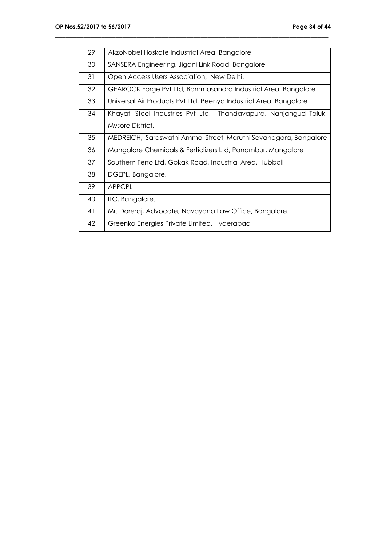| 29 | AkzoNobel Hoskote Industrial Area, Bangalore                      |  |  |  |  |  |  |
|----|-------------------------------------------------------------------|--|--|--|--|--|--|
| 30 | SANSERA Engineering, Jigani Link Road, Bangalore                  |  |  |  |  |  |  |
| 31 | Open Access Users Association, New Delhi.                         |  |  |  |  |  |  |
| 32 | GEAROCK Forge Pvt Ltd, Bommasandra Industrial Area, Bangalore     |  |  |  |  |  |  |
| 33 | Universal Air Products Pvt Ltd, Peenya Industrial Area, Bangalore |  |  |  |  |  |  |
| 34 | Khayati Steel Industries Pvt Ltd, Thandavapura, Nanjangud Taluk,  |  |  |  |  |  |  |
|    | Mysore District.                                                  |  |  |  |  |  |  |
| 35 | MEDREICH, Saraswathi Ammal Street, Maruthi Sevanagara, Bangalore  |  |  |  |  |  |  |
| 36 | Mangalore Chemicals & Ferticlizers Ltd, Panambur, Mangalore       |  |  |  |  |  |  |
| 37 | Southern Ferro Ltd, Gokak Road, Industrial Area, Hubballi         |  |  |  |  |  |  |
| 38 | DGEPL, Bangalore.                                                 |  |  |  |  |  |  |
| 39 | <b>APPCPL</b>                                                     |  |  |  |  |  |  |
| 40 | ITC, Bangalore.                                                   |  |  |  |  |  |  |
| 41 | Mr. Doreraj, Advocate, Navayana Law Office, Bangalore.            |  |  |  |  |  |  |
| 42 | Greenko Energies Private Limited, Hyderabad                       |  |  |  |  |  |  |

\_\_\_\_\_\_\_\_\_\_\_\_\_\_\_\_\_\_\_\_\_\_\_\_\_\_\_\_\_\_\_\_\_\_\_\_\_\_\_\_\_\_\_\_\_\_\_\_\_\_\_\_\_\_\_\_\_\_\_\_\_\_\_\_\_\_\_\_\_\_\_\_\_\_\_\_\_

- - - - - -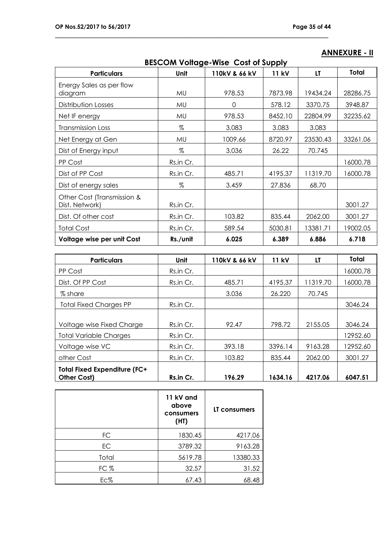# **ANNEXURE - II**

| <b>BESCOM Voltage-Wise Cost of Supply</b>    |           |               |         |          |          |  |  |
|----------------------------------------------|-----------|---------------|---------|----------|----------|--|--|
| <b>Particulars</b>                           | Unit      | 110kV & 66 kV | 11 kV   | LT       | Total    |  |  |
| Energy Sales as per flow<br>diagram          | MU        | 978.53        | 7873.98 | 19434.24 | 28286.75 |  |  |
| Distribution Losses                          | MU        | 0             | 578.12  | 3370.75  | 3948.87  |  |  |
| Net IF energy                                | MU        | 978.53        | 8452.10 | 22804.99 | 32235.62 |  |  |
| Transmission Loss                            | $\%$      | 3.083         | 3.083   | 3.083    |          |  |  |
| Net Energy at Gen                            | MU        | 1009.66       | 8720.97 | 23530.43 | 33261.06 |  |  |
| Dist of Energy input                         | %         | 3.036         | 26.22   | 70.745   |          |  |  |
| PP Cost                                      | Rs.in Cr. |               |         |          | 16000.78 |  |  |
| Dist of PP Cost                              | Rs.in Cr. | 485.71        | 4195.37 | 11319.70 | 16000.78 |  |  |
| Dist of energy sales                         | $\%$      | 3.459         | 27.836  | 68.70    |          |  |  |
| Other Cost (Transmission &<br>Dist. Network) | Rs.in Cr. |               |         |          | 3001.27  |  |  |
| Dist. Of other cost                          | Rs.in Cr. | 103.82        | 835.44  | 2062.00  | 3001.27  |  |  |
| <b>Total Cost</b>                            | Rs.in Cr. | 589.54        | 5030.81 | 13381.71 | 19002.05 |  |  |
| Voltage wise per unit Cost                   | Rs./unit  | 6.025         | 6.389   | 6.886    | 6.718    |  |  |

| <b>Particulars</b>                                 | Unit      | 110kV & 66 kV | <b>11 kV</b> | LT       | Total    |
|----------------------------------------------------|-----------|---------------|--------------|----------|----------|
| PP Cost                                            | Rs.in Cr. |               |              |          | 16000.78 |
| Dist. Of PP Cost                                   | Rs.in Cr. | 485.71        | 4195.37      | 11319.70 | 16000.78 |
| % share                                            |           | 3.036         | 26.220       | 70.745   |          |
| <b>Total Fixed Charges PP</b>                      | Rs.in Cr. |               |              |          | 3046.24  |
|                                                    |           |               |              |          |          |
| Voltage wise Fixed Charge                          | Rs.in Cr. | 92.47         | 798.72       | 2155.05  | 3046.24  |
| <b>Total Variable Charges</b>                      | Rs.in Cr. |               |              |          | 12952.60 |
| Voltage wise VC                                    | Rs.in Cr. | 393.18        | 3396.14      | 9163.28  | 12952.60 |
| other Cost                                         | Rs.in Cr. | 103.82        | 835.44       | 2062.00  | 3001.27  |
| <b>Total Fixed Expenditure (FC+</b><br>Other Cost) | Rs.in Cr. | 196.29        | 1634.16      | 4217.06  | 6047.51  |

|       | 11 kV and<br>above<br>consumers<br>(HI) | LT consumers |
|-------|-----------------------------------------|--------------|
| FC    | 1830.45                                 | 4217.06      |
| EC    | 3789.32                                 | 9163.28      |
| Total | 5619.78                                 | 13380.33     |
| FC %  | 32.57                                   | 31.52        |
| Ec%   | 67.43                                   | 68.48        |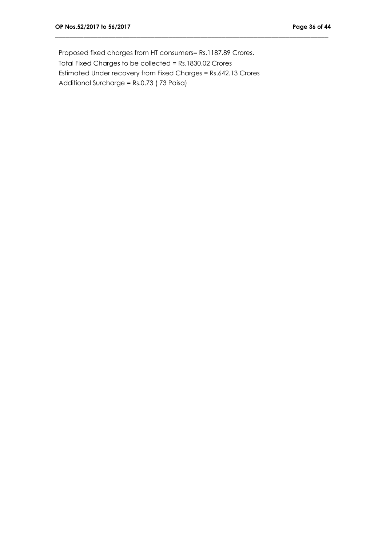Proposed fixed charges from HT consumers= Rs.1187.89 Crores. Total Fixed Charges to be collected = Rs.1830.02 Crores Estimated Under recovery from Fixed Charges = Rs.642.13 Crores Additional Surcharge = Rs.0.73 ( 73 Paisa)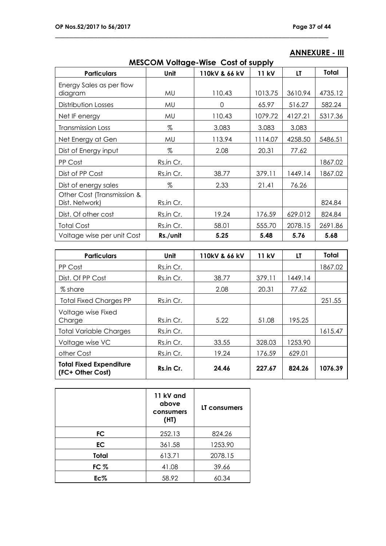| <b>MESCOM Voltage-Wise Cost of supply</b>    |           |               |              |         |         |  |  |
|----------------------------------------------|-----------|---------------|--------------|---------|---------|--|--|
| <b>Particulars</b>                           | Unit      | 110kV & 66 kV | <b>11 kV</b> | LT      | Total   |  |  |
| Energy Sales as per flow<br>diagram          | MU        | 110.43        | 1013.75      | 3610.94 | 4735.12 |  |  |
| Distribution Losses                          | MU        | 0             | 65.97        | 516.27  | 582.24  |  |  |
| Net IF energy                                | MU        | 110.43        | 1079.72      | 4127.21 | 5317.36 |  |  |
| <b>Transmission Loss</b>                     | %         | 3.083         | 3.083        | 3.083   |         |  |  |
| Net Energy at Gen                            | MU        | 113.94        | 1114.07      | 4258.50 | 5486.51 |  |  |
| Dist of Energy input                         | %         | 2.08          | 20.31        | 77.62   |         |  |  |
| PP Cost                                      | Rs.in Cr. |               |              |         | 1867.02 |  |  |
| Dist of PP Cost                              | Rs.in Cr. | 38.77         | 379.11       | 1449.14 | 1867.02 |  |  |
| Dist of energy sales                         | %         | 2.33          | 21.41        | 76.26   |         |  |  |
| Other Cost (Transmission &<br>Dist. Network) | Rs.in Cr. |               |              |         | 824.84  |  |  |
| Dist. Of other cost                          | Rs.in Cr. | 19.24         | 176.59       | 629.012 | 824.84  |  |  |
| <b>Total Cost</b>                            | Rs.in Cr. | 58.01         | 555.70       | 2078.15 | 2691.86 |  |  |
| Voltage wise per unit Cost                   | Rs./unit  | 5.25          | 5.48         | 5.76    | 5.68    |  |  |

\_\_\_\_\_\_\_\_\_\_\_\_\_\_\_\_\_\_\_\_\_\_\_\_\_\_\_\_\_\_\_\_\_\_\_\_\_\_\_\_\_\_\_\_\_\_\_\_\_\_\_\_\_\_\_\_\_\_\_\_\_\_\_\_\_\_\_\_\_\_\_\_\_\_\_\_\_

# **ANNEXURE - III**

| <b>Particulars</b>                                 | Unit      | 110kV & 66 kV | <b>11 kV</b> | LT      | <b>Total</b> |
|----------------------------------------------------|-----------|---------------|--------------|---------|--------------|
| PP Cost                                            | Rs.in Cr. |               |              |         | 1867.02      |
| Dist. Of PP Cost                                   | Rs.in Cr. | 38.77         | 379.11       | 1449.14 |              |
| % share                                            |           | 2.08          | 20.31        | 77.62   |              |
| <b>Total Fixed Charges PP</b>                      | Rs.in Cr. |               |              |         | 251.55       |
| Voltage wise Fixed<br>Charge                       | Rs.in Cr. | 5.22          | 51.08        | 195.25  |              |
| <b>Total Variable Charges</b>                      | Rs.in Cr. |               |              |         | 1615.47      |
| Voltage wise VC                                    | Rs.in Cr. | 33.55         | 328.03       | 1253.90 |              |
| other Cost                                         | Rs.in Cr. | 19.24         | 176.59       | 629.01  |              |
| <b>Total Fixed Expenditure</b><br>(FC+ Other Cost) | Rs.in Cr. | 24.46         | 227.67       | 824.26  | 1076.39      |

|       | 11 kV and<br>above<br>consumers<br>(HI) | LT consumers |  |
|-------|-----------------------------------------|--------------|--|
| FC    | 252.13                                  | 824.26       |  |
| EC.   | 361.58                                  | 1253.90      |  |
| Total | 613.71                                  | 2078.15      |  |
| FC    | 41.08                                   | 39.66        |  |
| Ec%   | 58.92                                   | 60.34        |  |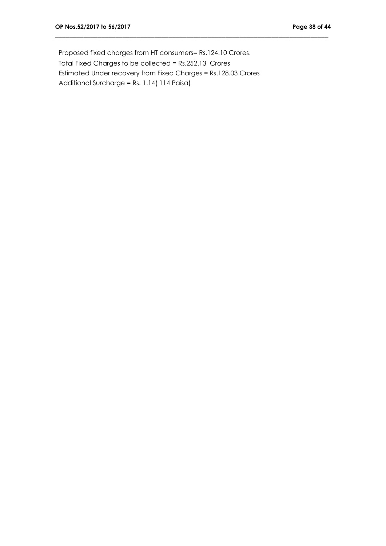Proposed fixed charges from HT consumers= Rs.124.10 Crores. Total Fixed Charges to be collected = Rs.252.13 Crores Estimated Under recovery from Fixed Charges = Rs.128.03 Crores Additional Surcharge = Rs. 1.14( 114 Paisa)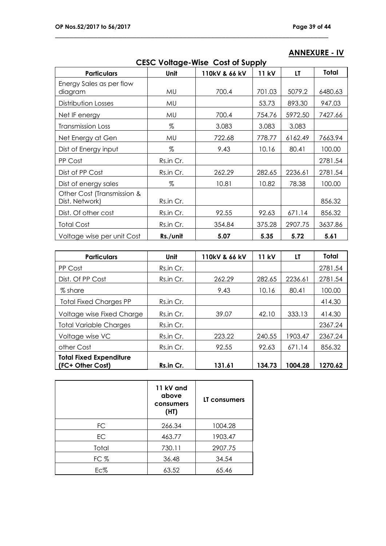| <b>CESC Voltage-Wise Cost of Supply</b>      |           |               |        |         |         |  |
|----------------------------------------------|-----------|---------------|--------|---------|---------|--|
| <b>Particulars</b>                           | Unit      | 110kV & 66 kV | 11 kV  | LT      | Total   |  |
| Energy Sales as per flow<br>diagram          | MU        | 700.4         | 701.03 | 5079.2  | 6480.63 |  |
| Distribution Losses                          | MU        |               | 53.73  | 893.30  | 947.03  |  |
| Net IF energy                                | MU        | 700.4         | 754.76 | 5972.50 | 7427.66 |  |
| <b>Transmission Loss</b>                     | %         | 3.083         | 3.083  | 3.083   |         |  |
| Net Energy at Gen                            | MU        | 722.68        | 778.77 | 6162.49 | 7663.94 |  |
| Dist of Energy input                         | %         | 9.43          | 10.16  | 80.41   | 100.00  |  |
| PP Cost                                      | Rs.in Cr. |               |        |         | 2781.54 |  |
| Dist of PP Cost                              | Rs.in Cr. | 262.29        | 282.65 | 2236.61 | 2781.54 |  |
| Dist of energy sales                         | Z         | 10.81         | 10.82  | 78.38   | 100.00  |  |
| Other Cost (Transmission &<br>Dist. Network) | Rs.in Cr. |               |        |         | 856.32  |  |
| Dist. Of other cost                          | Rs.in Cr. | 92.55         | 92.63  | 671.14  | 856.32  |  |
| <b>Total Cost</b>                            | Rs.in Cr. | 354.84        | 375.28 | 2907.75 | 3637.86 |  |
| Voltage wise per unit Cost                   | Rs./unit  | 5.07          | 5.35   | 5.72    | 5.61    |  |

\_\_\_\_\_\_\_\_\_\_\_\_\_\_\_\_\_\_\_\_\_\_\_\_\_\_\_\_\_\_\_\_\_\_\_\_\_\_\_\_\_\_\_\_\_\_\_\_\_\_\_\_\_\_\_\_\_\_\_\_\_\_\_\_\_\_\_\_\_\_\_\_\_\_\_\_\_

# **ANNEXURE - IV**

| <b>Particulars</b>                                 | Unit      | 110kV & 66 kV | 11 kV  | LT      | Total   |
|----------------------------------------------------|-----------|---------------|--------|---------|---------|
| PP Cost                                            | Rs.in Cr. |               |        |         | 2781.54 |
| Dist. Of PP Cost                                   | Rs.in Cr. | 262.29        | 282.65 | 2236.61 | 2781.54 |
| % share                                            |           | 9.43          | 10.16  | 80.41   | 100.00  |
| <b>Total Fixed Charges PP</b>                      | Rs.in Cr. |               |        |         | 414.30  |
| Voltage wise Fixed Charge                          | Rs.in Cr. | 39.07         | 42.10  | 333.13  | 414.30  |
| <b>Total Variable Charges</b>                      | Rs.in Cr. |               |        |         | 2367.24 |
| Voltage wise VC                                    | Rs.in Cr. | 223.22        | 240.55 | 1903.47 | 2367.24 |
| other Cost                                         | Rs.in Cr. | 92.55         | 92.63  | 671.14  | 856.32  |
| <b>Total Fixed Expenditure</b><br>(FC+ Other Cost) | Rs.in Cr. | 131.61        | 134.73 | 1004.28 | 1270.62 |

|       | 11 kV and<br>above<br>consumers<br>(HI) | LT consumers |  |
|-------|-----------------------------------------|--------------|--|
| FC.   | 266.34                                  | 1004.28      |  |
| EC.   | 463.77                                  | 1903.47      |  |
| Total | 730.11                                  | 2907.75      |  |
| FC %  | 36.48                                   | 34.54        |  |
| Ec%   | 63.52                                   | 65.46        |  |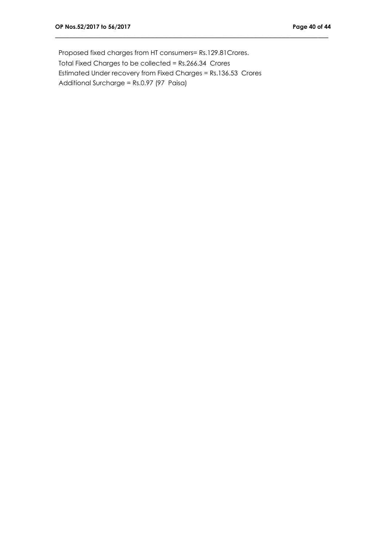Proposed fixed charges from HT consumers= Rs.129.81Crores. Total Fixed Charges to be collected = Rs.266.34 Crores Estimated Under recovery from Fixed Charges = Rs.136.53 Crores Additional Surcharge = Rs.0.97 (97 Paisa)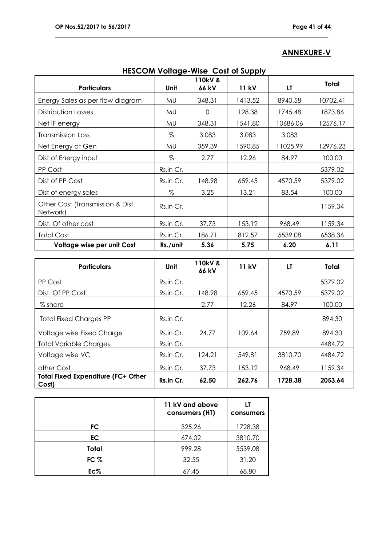## **ANNEXURE-V**

| <b>ILLOCUM VUILLUGE-WISE COST OF SUPPLY</b>  |           |                  |         |          |          |  |
|----------------------------------------------|-----------|------------------|---------|----------|----------|--|
| <b>Particulars</b>                           | Unit      | 110kV &<br>66 kV | 11 kV   | LT       | Total    |  |
| Energy Sales as per flow diagram             | MU.       | 348.31           | 1413.52 | 8940.58  | 10702.41 |  |
| Distribution Losses                          | MU        | $\Omega$         | 128.38  | 1745.48  | 1873.86  |  |
| Net IF energy                                | MU        | 348.31           | 1541.80 | 10686.06 | 12576.17 |  |
| <b>Transmission Loss</b>                     | %         | 3.083            | 3.083   | 3.083    |          |  |
| Net Energy at Gen                            | MU        | 359.39           | 1590.85 | 11025.99 | 12976.23 |  |
| Dist of Energy input                         | %         | 2.77             | 12.26   | 84.97    | 100.00   |  |
| PP Cost                                      | Rs.in Cr. |                  |         |          | 5379.02  |  |
| Dist of PP Cost                              | Rs.in Cr. | 148.98           | 659.45  | 4570.59  | 5379.02  |  |
| Dist of energy sales                         | %         | 3.25             | 13.21   | 83.54    | 100.00   |  |
| Other Cost (Transmission & Dist.<br>Network) | Rs.in Cr. |                  |         |          | 1159.34  |  |
| Dist. Of other cost                          | Rs.in Cr. | 37.73            | 153.12  | 968.49   | 1159.34  |  |
| <b>Total Cost</b>                            | Rs.in Cr. | 186.71           | 812.57  | 5539.08  | 6538.36  |  |
| Voltage wise per unit Cost                   | Rs./unit  | 5.36             | 5.75    | 6.20     | 6.11     |  |

| <b>HESCOM Voltage-Wise Cost of Supply</b> |  |
|-------------------------------------------|--|
|-------------------------------------------|--|

| <b>Particulars</b>                                 | Unit      | <b>110kV &amp;</b><br>66 kV | <b>11 kV</b> | LT      | <b>Total</b> |
|----------------------------------------------------|-----------|-----------------------------|--------------|---------|--------------|
| PP Cost                                            | Rs.in Cr. |                             |              |         | 5379.02      |
| Dist. Of PP Cost                                   | Rs.in Cr. | 148.98                      | 659.45       | 4570.59 | 5379.02      |
| % share                                            |           | 2.77                        | 12.26        | 84.97   | 100.00       |
| <b>Total Fixed Charges PP</b>                      | Rs.in Cr. |                             |              |         | 894.30       |
| Voltage wise Fixed Charge                          | Rs.in Cr. | 24.77                       | 109.64       | 759.89  | 894.30       |
| <b>Total Variable Charges</b>                      | Rs.in Cr. |                             |              |         | 4484.72      |
| Voltage wise VC                                    | Rs.in Cr. | 124.21                      | 549.81       | 3810.70 | 4484.72      |
| other Cost                                         | Rs.in Cr. | 37.73                       | 153.12       | 968.49  | 1159.34      |
| <b>Total Fixed Expenditure (FC+ Other</b><br>Cost) | Rs.in Cr. | 62.50                       | 262.76       | 1728.38 | 2053.64      |

|        | 11 kV and above<br>consumers (HT) | LT<br>consumers |  |
|--------|-----------------------------------|-----------------|--|
| FC     | 325.26                            | 1728.38         |  |
| EC.    | 674.02                            | 3810.70         |  |
| Total  | 999.28                            | 5539.08         |  |
| FC $%$ | 32.55                             | 31.20           |  |
| $Ec\%$ | 67.45                             | 68.80           |  |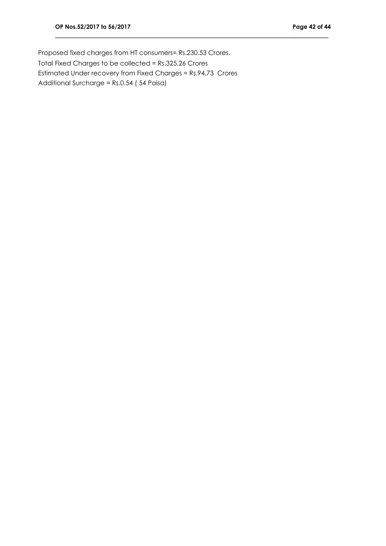Proposed fixed charges from HT consumers= Rs.230.53 Crores. Total Fixed Charges to be collected = Rs.325.26 Crores Estimated Under recovery from Fixed Charges = Rs.94.73 Crores Additional Surcharge = Rs.0.54 ( 54 Paisa)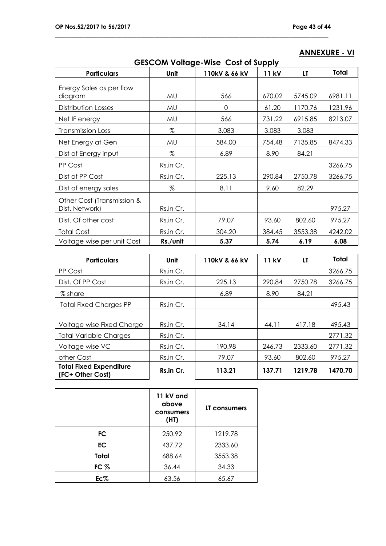| <b>GESCOM Voltage-Wise Cost of Supply</b>    |           |               |        |         |         |  |
|----------------------------------------------|-----------|---------------|--------|---------|---------|--|
| <b>Particulars</b>                           | Unit      | 110kV & 66 kV | 11 kV  | LT      | Total   |  |
| Energy Sales as per flow<br>diagram          | MU        | 566           | 670.02 | 5745.09 | 6981.11 |  |
| Distribution Losses                          | MU        | 0             | 61.20  | 1170.76 | 1231.96 |  |
| Net IF energy                                | MU        | 566           | 731.22 | 6915.85 | 8213.07 |  |
| <b>Transmission Loss</b>                     | $\%$      | 3.083         | 3.083  | 3.083   |         |  |
| Net Energy at Gen                            | MU        | 584.00        | 754.48 | 7135.85 | 8474.33 |  |
| Dist of Energy input                         | $\%$      | 6.89          | 8.90   | 84.21   |         |  |
| PP Cost                                      | Rs.in Cr. |               |        |         | 3266.75 |  |
| Dist of PP Cost                              | Rs.in Cr. | 225.13        | 290.84 | 2750.78 | 3266.75 |  |
| Dist of energy sales                         | $\%$      | 8.11          | 9.60   | 82.29   |         |  |
| Other Cost (Transmission &<br>Dist. Network) | Rs.in Cr. |               |        |         | 975.27  |  |
| Dist. Of other cost                          | Rs.in Cr. | 79.07         | 93.60  | 802.60  | 975.27  |  |
| <b>Total Cost</b>                            | Rs.in Cr. | 304.20        | 384.45 | 3553.38 | 4242.02 |  |
| Voltage wise per unit Cost                   | Rs./unit  | 5.37          | 5.74   | 6.19    | 6.08    |  |

\_\_\_\_\_\_\_\_\_\_\_\_\_\_\_\_\_\_\_\_\_\_\_\_\_\_\_\_\_\_\_\_\_\_\_\_\_\_\_\_\_\_\_\_\_\_\_\_\_\_\_\_\_\_\_\_\_\_\_\_\_\_\_\_\_\_\_\_\_\_\_\_\_\_\_\_\_

| <b>Particulars</b>                                 | Unit      | 110kV & 66 kV | <b>11 kV</b> | LT      | <b>Total</b> |
|----------------------------------------------------|-----------|---------------|--------------|---------|--------------|
| PP Cost                                            | Rs.in Cr. |               |              |         | 3266.75      |
| Dist. Of PP Cost                                   | Rs.in Cr. | 225.13        | 290.84       | 2750.78 | 3266.75      |
| % share                                            |           | 6.89          | 8.90         | 84.21   |              |
| <b>Total Fixed Charges PP</b>                      | Rs.in Cr. |               |              |         | 495.43       |
|                                                    |           |               |              |         |              |
| Voltage wise Fixed Charge                          | Rs.in Cr. | 34.14         | 44.11        | 417.18  | 495.43       |
| <b>Total Variable Charges</b>                      | Rs.in Cr. |               |              |         | 2771.32      |
| Voltage wise VC                                    | Rs.in Cr. | 190.98        | 246.73       | 2333.60 | 2771.32      |
| other Cost                                         | Rs.in Cr. | 79.07         | 93.60        | 802.60  | 975.27       |
| <b>Total Fixed Expenditure</b><br>(FC+ Other Cost) | Rs.in Cr. | 113.21        | 137.71       | 1219.78 | 1470.70      |

|           | 11 kV and<br>above<br>consumers<br>(HI) | LT consumers |
|-----------|-----------------------------------------|--------------|
| FC        | 250.92                                  | 1219.78      |
| <b>EC</b> | 437.72                                  | 2333.60      |
| Total     | 688.64                                  | 3553.38      |
| FC $%$    | 36.44                                   | 34.33        |
| Ec%       | 63.56                                   | 65.67        |

## **ANNEXURE - VI**